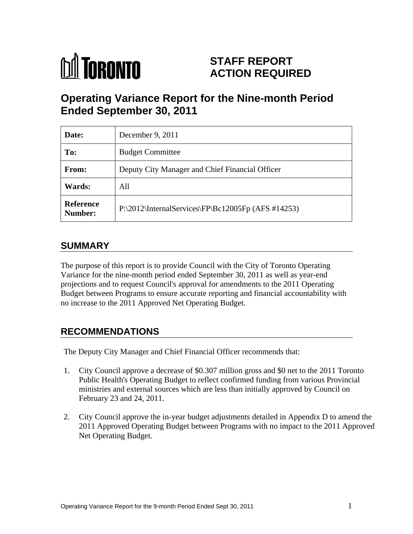

# **STAFF REPORT ACTION REQUIRED**

## **Operating Variance Report for the Nine-month Period Ended September 30, 2011**

| Date:                | December 9, $2011$                                                          |
|----------------------|-----------------------------------------------------------------------------|
| To:                  | <b>Budget Committee</b>                                                     |
| From:                | Deputy City Manager and Chief Financial Officer                             |
| <b>Wards:</b>        | All                                                                         |
| Reference<br>Number: | $ P:\2012\langle Internal Services\rangle FP\langle Bc12005Fp (AFS #14253)$ |

## **SUMMARY**

The purpose of this report is to provide Council with the City of Toronto Operating Variance for the nine-month period ended September 30, 2011 as well as year-end projections and to request Council's approval for amendments to the 2011 Operating Budget between Programs to ensure accurate reporting and financial accountability with no increase to the 2011 Approved Net Operating Budget.

## **RECOMMENDATIONS**

The Deputy City Manager and Chief Financial Officer recommends that:

- 1. City Council approve a decrease of \$0.307 million gross and \$0 net to the 2011 Toronto Public Health's Operating Budget to reflect confirmed funding from various Provincial ministries and external sources which are less than initially approved by Council on February 23 and 24, 2011.
- 2. City Council approve the in-year budget adjustments detailed in Appendix D to amend the 2011 Approved Operating Budget between Programs with no impact to the 2011 Approved Net Operating Budget.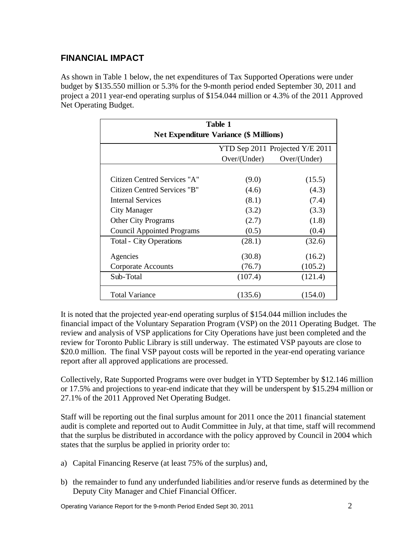## **FINANCIAL IMPACT**

As shown in Table 1 below, the net expenditures of Tax Supported Operations were under budget by \$135.550 million or 5.3% for the 9-month period ended September 30, 2011 and project a 2011 year-end operating surplus of \$154.044 million or 4.3% of the 2011 Approved

|                                   | Table 1<br><b>Net Expenditure Variance (\$ Millions)</b> |                                 |
|-----------------------------------|----------------------------------------------------------|---------------------------------|
|                                   |                                                          | YTD Sep 2011 Projected Y/E 2011 |
|                                   | Over/(Under)                                             | Over/(Under)                    |
| Citizen Centred Services "A"      | (9.0)                                                    | (15.5)                          |
| Citizen Centred Services "B"      | (4.6)                                                    | (4.3)                           |
| <b>Internal Services</b>          | (8.1)                                                    | (7.4)                           |
| <b>City Manager</b>               | (3.2)                                                    | (3.3)                           |
| Other City Programs               | (2.7)                                                    | (1.8)                           |
| <b>Council Appointed Programs</b> | (0.5)                                                    | (0.4)                           |
| <b>Total - City Operations</b>    | (28.1)                                                   | (32.6)                          |
| Agencies                          | (30.8)                                                   | (16.2)                          |
| <b>Corporate Accounts</b>         | (76.7)                                                   | (105.2)                         |
| Sub-Total                         | (107.4)                                                  | (121.4)                         |
| <b>Total Variance</b>             | (135.6)                                                  | (154.0)                         |

It is noted that the projected year-end operating surplus of \$154.044 million includes the financial impact of the Voluntary Separation Program (VSP) on the 2011 Operating Budget. The review and analysis of VSP applications for City Operations have just been completed and the review for Toronto Public Library is still underway. The estimated VSP payouts are close to \$20.0 million. The final VSP payout costs will be reported in the year-end operating variance report after all approved applications are processed.

Collectively, Rate Supported Programs were over budget in YTD September by \$12.146 million or 17.5% and projections to year-end indicate that they will be underspent by \$15.294 million or 27.1% of the 2011 Approved Net Operating Budget.

Staff will be reporting out the final surplus amount for 2011 once the 2011 financial statement audit is complete and reported out to Audit Committee in July, at that time, staff will recommend that the surplus be distributed in accordance with the policy approved by Council in 2004 which states that the surplus be applied in priority order to:

- a) Capital Financing Reserve (at least 75% of the surplus) and,
- b) the remainder to fund any underfunded liabilities and/or reserve funds as determined by the Deputy City Manager and Chief Financial Officer.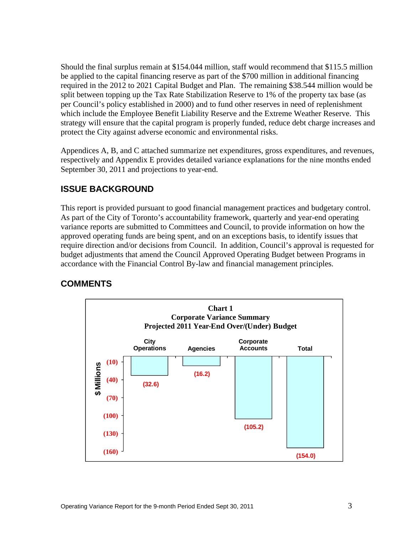Should the final surplus remain at \$154.044 million, staff would recommend that \$115.5 million be applied to the capital financing reserve as part of the \$700 million in additional financing required in the 2012 to 2021 Capital Budget and Plan. The remaining \$38.544 million would be split between topping up the Tax Rate Stabilization Reserve to 1% of the property tax base (as per Council's policy established in 2000) and to fund other reserves in need of replenishment which include the Employee Benefit Liability Reserve and the Extreme Weather Reserve. This strategy will ensure that the capital program is properly funded, reduce debt charge increases and protect the City against adverse economic and environmental risks.

Appendices A, B, and C attached summarize net expenditures, gross expenditures, and revenues, respectively and Appendix E provides detailed variance explanations for the nine months ended September 30, 2011 and projections to year-end.

## **ISSUE BACKGROUND**

This report is provided pursuant to good financial management practices and budgetary control. As part of the City of Toronto's accountability framework, quarterly and year-end operating variance reports are submitted to Committees and Council, to provide information on how the approved operating funds are being spent, and on an exceptions basis, to identify issues that require direction and/or decisions from Council. In addition, Council's approval is requested for budget adjustments that amend the Council Approved Operating Budget between Programs in accordance with the Financial Control By-law and financial management principles.

## **COMMENTS**

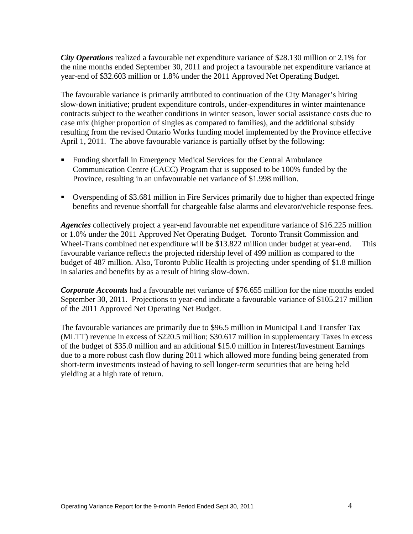*City Operations* realized a favourable net expenditure variance of \$28.130 million or 2.1% for the nine months ended September 30, 2011 and project a favourable net expenditure variance at year-end of \$32.603 million or 1.8% under the 2011 Approved Net Operating Budget.

The favourable variance is primarily attributed to continuation of the City Manager's hiring slow-down initiative; prudent expenditure controls, under-expenditures in winter maintenance contracts subject to the weather conditions in winter season, lower social assistance costs due to case mix (higher proportion of singles as compared to families), and the additional subsidy resulting from the revised Ontario Works funding model implemented by the Province effective April 1, 2011. The above favourable variance is partially offset by the following:

- Funding shortfall in Emergency Medical Services for the Central Ambulance Communication Centre (CACC) Program that is supposed to be 100% funded by the
- Province, resulting in an unfavourable net variance of \$1.998 million.<br>Overspending of \$3.681 million in Fire Services primarily due to higher than expected fringe benefits and revenue shortfall for chargeable false alarms and elevator/vehicle response fees.

*Agencies* collectively project a year-end favourable net expenditure variance of \$16.225 million or 1.0% under the 2011 Approved Net Operating Budget. Toronto Transit Commission and Wheel-Trans combined net expenditure will be \$13.822 million under budget at year-end. This favourable variance reflects the projected ridership level of 499 million as compared to the budget of 487 million. Also, Toronto Public Health is projecting under spending of \$1.8 million in salaries and benefits by as a result of hiring slow-down.

*Corporate Accounts* had a favourable net variance of \$76.655 million for the nine months ended September 30, 2011. Projections to year-end indicate a favourable variance of \$105.217 million of the 2011 Approved Net Operating Net Budget.

The favourable variances are primarily due to \$96.5 million in Municipal Land Transfer Tax (MLTT) revenue in excess of \$220.5 million; \$30.617 million in supplementary Taxes in excess of the budget of \$35.0 million and an additional \$15.0 million in Interest/Investment Earnings due to a more robust cash flow during 2011 which allowed more funding being generated from short-term investments instead of having to sell longer-term securities that are being held yielding at a high rate of return.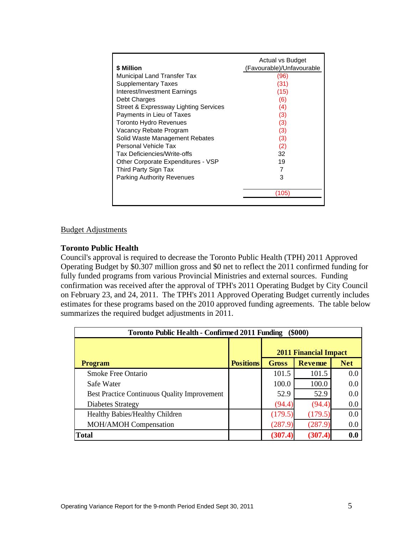|                                       | <b>Actual vs Budget</b>   |
|---------------------------------------|---------------------------|
| \$ Million                            | (Favourable)/Unfavourable |
| Municipal Land Transfer Tax           |                           |
| Supplementary Taxes                   |                           |
| Interest/Investment Earnings          | (15)                      |
| Debt Charges                          | (6)                       |
| Street & Expressway Lighting Services | (4)                       |
| Payments in Lieu of Taxes             |                           |
| Toronto Hydro Revenues                |                           |
| Vacancy Rebate Program                |                           |
| Solid Waste Management Rebates        |                           |
| Personal Vehicle Tax                  |                           |
| Tax Deficiencies/Write-offs           |                           |
| Other Corporate Expenditures - VSP    |                           |
| Third Party Sign Tax                  |                           |
| <b>Parking Authority Revenues</b>     |                           |
|                                       |                           |
|                                       | (105)                     |
|                                       |                           |

## Budget Adjustments

## **Toronto Public Health**

Council's approval is required to decrease the Toronto Public Health (TPH) 2011 Approved Operating Budget by \$0.307 million gross and \$0 net to reflect the 2011 confirmed funding for fully funded programs from various Provincial Ministries and external sources. Funding confirmation was received after the approval of TPH's 2011 Operating Budget by City Council on February 23, and 24, 2011. The TPH's 2011 Approved Operating Budget currently includes estimates for these programs based on the 2010 approved funding agreements. The table below summarizes the required budget adjustments in 2011.

| Toronto Public Health - Confirmed 2011 Funding (\$000) |                  |       |                              |                  |
|--------------------------------------------------------|------------------|-------|------------------------------|------------------|
|                                                        |                  |       | <b>2011 Financial Impact</b> |                  |
| <b>Program</b>                                         | <b>Positions</b> | Gross | <b>Revenue</b>               | <b>Net</b>       |
| Smoke Free Ontario                                     |                  | 101.5 | 101.5                        |                  |
| Safe Water                                             |                  | 100.0 | 100.0                        | 0.0 <sub>1</sub> |
| Best Practice Continuous Quality Improvement           |                  | 52.9  | 520<br>ز ـ ک ل               |                  |
| Diabetes Strategy                                      |                  |       | (94)                         |                  |
| Healthy Babies/Healthy Children                        |                  |       | (179)                        |                  |
| <b>MOH/AMOH Compensation</b>                           |                  |       | (287,                        |                  |
| Total                                                  |                  |       | (307.4)                      | 0.0              |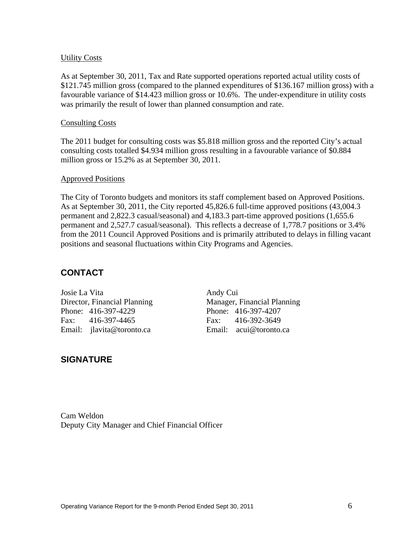## Utility Costs

As at September 30, 2011, Tax and Rate supported operations reported actual utility costs of \$121.745 million gross (compared to the planned expenditures of \$136.167 million gross) with a favourable variance of \$14.423 million gross or 10.6%. The under-expenditure in utility costs was primarily the result of lower than planned consumption and rate.

## **Consulting Costs**

The 2011 budget for consulting costs was \$5.818 million gross and the reported City's actual consulting costs totalled \$4.934 million gross resulting in a favourable variance of \$0.884 million gross or 15.2% as at September 30, 2011.

## Approved Positions

The City of Toronto budgets and monitors its staff complement based on Approved Positions. As at September 30, 2011, the City reported 45,826.6 full-time approved positions (43,004.3 permanent and 2,822.3 casual/seasonal) and 4,183.3 part-time approved positions (1,655.6 permanent and 2,527.7 casual/seasonal). This reflects a decrease of 1,778.7 positions or 3.4% from the 2011 Council Approved Positions and is primarily attributed to delays in filling vacant positions and seasonal fluctuations within City Programs and Agencies.

## **CONTACT**

Email: jlavita@toronto.ca Email: acui@toronto.ca

Josie La Vita and Andy Cui Director, Financial Planning Manager, Financial Planning Phone: 416-397-4229 Phone: 416-397-4207 Fax: 416-397-4465 Fax: 416-392-3649

## **SIGNATURE**

Cam Weldon Deputy City Manager and Chief Financial Officer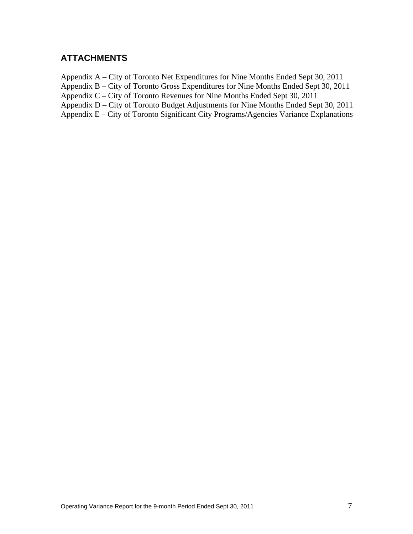## **ATTACHMENTS**

Appendix A – City of Toronto Net Expenditures for Nine Months Ended Sept 30, 2011 Appendix B – City of Toronto Gross Expenditures for Nine Months Ended Sept 30, 2011 Appendix C – City of Toronto Revenues for Nine Months Ended Sept 30, 2011 Appendix D – City of Toronto Budget Adjustments for Nine Months Ended Sept 30, 2011 Appendix E – City of Toronto Significant City Programs/Agencies Variance Explanations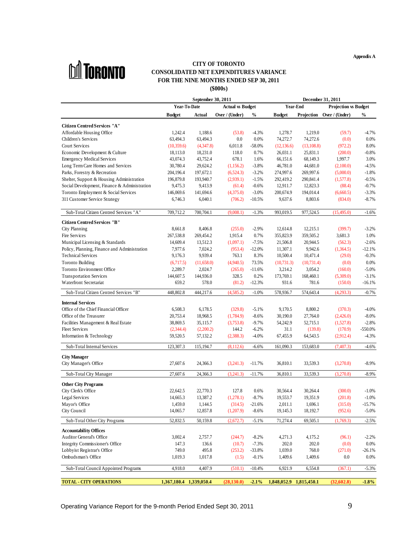**Appendix A**



#### **CITY OF TORONTO CONSOLIDATED NET EXPENDITURES VARIANCE FOR THE NINE MONTHS ENDED SEP 30, 2011 (\$000s)**

|                                                                       | September 30, 2011            | <b>December 31, 2011</b>                                                                                                                |
|-----------------------------------------------------------------------|-------------------------------|-----------------------------------------------------------------------------------------------------------------------------------------|
|                                                                       | Year-To-Date Actual vs Budget | <b>Year-End</b> Projection w Budget                                                                                                     |
|                                                                       |                               | Budget Actual Over / (Under) % Budget Projection Over / (Under) %                                                                       |
|                                                                       |                               |                                                                                                                                         |
| Citizen Centred Services "A"<br>Affordable Housing Office             |                               |                                                                                                                                         |
| Children's Services                                                   |                               | 1,242.4 1,188.6 (53.8) -4.3% 1,278.7 1,219.0 (59.7) -4.7%<br>63,494.3 63,494.3 0.0 0.0% 74,272.7 74,272.6 (0.0) 0.0%                    |
| Court Services                                                        |                               | $(10,359.6)$ $(4,347.8)$ $6,011.8$ $-58.0\%$ $(12,136.6)$ $(13,108.8)$ $(972.2)$ $8.0\%$                                                |
| Economic Development & Culture                                        |                               | 18,113.0 18,231.0 118.0 0.7% 26,031.1 25,831.1 (200.0) -0.8%                                                                            |
| <b>Emergency Medical Services</b>                                     |                               | 43,074.3 43,752.4 678.1 1.6% 66,151.6 68,149.3 1,997.7 3.0%                                                                             |
| Long Term Care Homes and Services                                     |                               | 30,780.4 29,624.2 (1,156.2) -3.8% 46,781.0 44,681.0 (2,100.0) -4.5%                                                                     |
| Parks, Forestry & Recreation                                          |                               | 204,196.4 197,672.1 (6,524.3) -3.2% 274,997.6 269,997.6 (5,000.0) -1.8%                                                                 |
| Shelter, Support & Housing Administration                             |                               | 196,879.8 193,940.7 (2,939.1) -1.5% 292,419.2 290,841.4 (1,577.8) -0.5%                                                                 |
| Social Development, Finance & Administration                          |                               | 9,475.3 9,413.9 (61.4) -0.6% 12,911.7 12,823.3 (88.4) -0.7%                                                                             |
| Toronto Employment & Social Services<br>311 Customer Service Strategy |                               | 146,069.6 141,694.6 (4,375.0) -3.0% 200,674.9 194,014.4 (6,660.5) -3.3%<br>6,746.3 6,040.1 (706.2) -10.5% 9,637.6 8,803.6 (834.0) -8.7% |
|                                                                       |                               |                                                                                                                                         |
| Sub-Total Citizen Centred Services "A"                                |                               | $709,712.2$ $700,704.1$ $(9,008.1)$ $-1.3\%$ $993,019.5$ $977,524.5$ $(15,495.0)$ $-1.6\%$                                              |
| Citizen Centred Services "B"                                          |                               |                                                                                                                                         |
| City Planning                                                         |                               | 8,661.8 8,406.8 (255.0) -2.9% 12,614.8 12,215.1 (399.7) -3.2%                                                                           |
| Fire Services                                                         |                               | 267,538.8 269,454.2 1,915.4 0.7% 355,823.9 359,505.2 3,681.3 1.0%                                                                       |
| Municipal Licensing & Standards                                       |                               | 14,609.4 13,512.3 (1,097.1) -7.5% 21,506.8 20,944.5 (562.3) -2.6%                                                                       |
| Policy, Planning, Finance and Administration                          |                               | 7,977.6 7,024.2 (953.4) -12.0% 11,307.1 9,942.6 (1,364.5) -12.1%                                                                        |
| <b>Technical Services</b>                                             |                               | 9,176.3 9,939.4 763.1 8.3% 10,500.4 10,471.4 (29.0) -0.3%                                                                               |
| Toronto Building                                                      |                               | $(6,717.5)$ $(11,658.0)$ $(4,940.5)$ $73.5\%$ $(10,731.3)$ $(10,731.4)$ $(0.0)$ $0.0\%$                                                 |
| Toronto Environment Office                                            |                               | 2,289.7 2,024.7 (265.0) -11.6% 3,214.2 3,054.2 (160.0) -5.0%                                                                            |
| <b>Transportation Services</b>                                        |                               | 144,607.5 144,936.0 328.5 0.2% 173,769.1 168,460.1 (5,309.0) -3.1%                                                                      |
| Waterfront Secretariat                                                |                               | 659.2 578.0 (81.2) 12.3% 931.6 781.6 (150.0) 16.1%                                                                                      |
| Sub-Total Citizen Centred Services "B"                                |                               | 448,802.8 444,217.6 (4,585.2) -1.0% 578,936.7 574,643.4 (4,293.3) -0.7%                                                                 |
| <b>Internal Services</b>                                              |                               |                                                                                                                                         |
| Office of the Chief Financial Officer                                 |                               | $6,508.3$ $6,178.5$ $(329.8)$ $-5.1\%$ $9,170.5$ $8,800.2$ $(370.3)$ $-4.0\%$                                                           |
| Office of the Treasurer                                               |                               | 20,753.4 18,968.5 (1,784.9) -8.6% 30,190.0 27,764.0 (2,426.0) -8.0%                                                                     |
| Facilities Management & Real Estate                                   |                               | 38,869.5 35,115.7 (3,753.8) 9.7% 54,242.9 52,715.1 (1,527.8) -2.8%                                                                      |
| <b>Fleet Services</b>                                                 |                               | $(2,344.4)$ $(2,200.2)$ $144.2$ $-6.2\%$ $31.1$ $(139.8)$ $(170.9)$ $-550.0\%$                                                          |
| Information & Technology                                              |                               | 59,520.5 57,132.2 (2,388.3) -4.0% 67,455.9 64,543.5 (2,912.4) -4.3%                                                                     |
| Sub-Total Internal Services                                           |                               | $123,307.3$ $115,194.7$ $(8,112.6)$ $-6.6\%$ $161,090.3$ $153,683.0$ $(7,407.3)$ $-4.6\%$                                               |
| <b>City Manager</b>                                                   |                               |                                                                                                                                         |
| City Manager's Office                                                 |                               | 27,607.6 24,366.3 (3,241.3) -11.7% 36,810.1 33,539.3 (3,270.8) -8.9%                                                                    |
|                                                                       |                               |                                                                                                                                         |
| Sub-Total City Manager                                                |                               | 27,607.6 24,366.3 (3,241.3) -11.7% 36,810.1 33,539.3 (3,270.8) -8.9%                                                                    |
| <b>Other City Programs</b>                                            |                               |                                                                                                                                         |
| City Clerk's Office                                                   |                               | 22,642.5 22,770.3 127.8 0.6% 30,564.4 30,264.4 (300.0) -1.0%                                                                            |
| Legal Services                                                        |                               | 14,665.3 13,387.2 (1,278.1) -8.7% 19,553.7 19,351.9 (201.8) -1.0%                                                                       |
| Mayor's Office                                                        |                               | 1,459.0 1,144.5 (314.5) -21.6% 2,011.1 1,696.1 (315.0) -15.7%<br>14,065.7 12,857.8 (1,207.9) -8.6% 19,145.3 18,192.7 (952.6) -5.0%      |
| City Council                                                          |                               |                                                                                                                                         |
| Sub-Total Other City Programs                                         |                               | 52,832.5 50,159.8 (2,672.7) 5.1% 71,274.4 69,505.1 (1,769.3) -2.5%                                                                      |
|                                                                       |                               |                                                                                                                                         |
| <b>Accountability Offices</b><br>Auditor General's Office             |                               | 3,002.4 2,757.7 (244.7) -8.2% 4,271.3 4,175.2 (96.1) -2.2%                                                                              |
| Integrity Commissioner's Office                                       |                               | 147.3 136.6 (10.7) -7.3% 202.0 202.0 (0.0) 0.0%                                                                                         |
| Lobbyist Registrar's Office                                           |                               | 749.0 495.8 (253.2) -33.8% 1,039.0 768.0 (271.0) -26.1%                                                                                 |
| Ombudsman's Office                                                    |                               | 1,019.3 1,017.8 (1.5) -0.1% 1,409.6 1,409.6 0.0 0.0%                                                                                    |
| Sub-Total Council Appointed Programs                                  |                               | 4,918.0 4,407.9 (510.1) -10.4% 6,921.9 6,554.8 (367.1) -5.3%                                                                            |
|                                                                       |                               |                                                                                                                                         |
| <b>TOTAL - CITY OPERATIONS</b>                                        |                               | $1,367,180.4$ $1,339,050.4$ $(28,130.0)$ $2.1\%$ $1,848,052.9$ $1,815,450.1$ $(32,602.8)$ $1.8\%$                                       |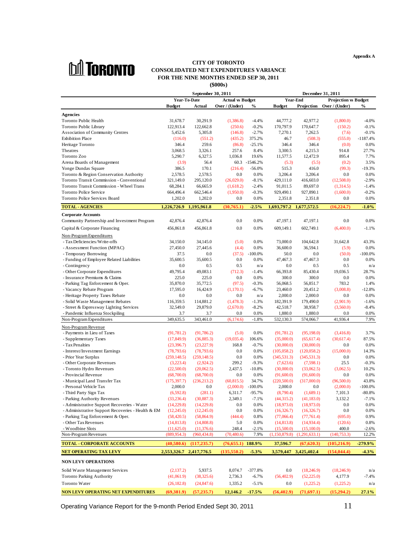**Appendix A**



## **CONSOLIDATED NET EXPENDITURES VARIANCE FOR THE NINE MONTHS ENDED SEP 30, 2011** (\$000s) **(\$000s)**

|                                                                                       | <b>CITY OF TORONTO</b>                                                                                                                                                                                     |
|---------------------------------------------------------------------------------------|------------------------------------------------------------------------------------------------------------------------------------------------------------------------------------------------------------|
| <b>hii Toronto</b>                                                                    | <b>CONSOLIDATED NET EXPENDITURES VARIANCE</b>                                                                                                                                                              |
|                                                                                       | FOR THE NINE MONTHS ENDED SEP 30, 2011                                                                                                                                                                     |
|                                                                                       | $(\$000s)$                                                                                                                                                                                                 |
|                                                                                       | September 30, 2011<br>December 31, 2011<br><b>Year-End</b><br><b>Year-To-Date</b><br>Projection w Budget<br><b>Actual vs Budget</b>                                                                        |
|                                                                                       | Budget Actual Over / (Under) % Budget Projection Over / (Under) %                                                                                                                                          |
|                                                                                       |                                                                                                                                                                                                            |
| <b>Agencies</b><br>Toronto Public Health                                              | $(1,386.8)$ $-4.4\%$ $44,777.2$ $42,977.2$<br>31,678.7 30,291.9<br>$(1,800.0)$ $-4.0\%$                                                                                                                    |
| Toronto Public Library                                                                | 122,913.4 122,662.8<br>$(250.6)$ $-0.2\%$ $170,797.9$ $170,647.7$<br>$(150.2)$ $-0.1\%$                                                                                                                    |
| <b>Association of Community Centres</b><br><b>Exhibition Place</b>                    | 5,452.6<br>5,305.8<br>$(146.8)$ $-2.7\%$ $7,270.1$<br>7,262.5<br>$(7.6)$ $-0.1\%$<br>$(116.0)$ $(551.2)$<br>$(435.2)$ 375.2%<br>46.7 (508.3) (555.0) -1187.4%                                              |
| Heritage Toronto                                                                      | 346.4<br>$(86.8)$ $-25.1\%$<br>346.4<br>346.4<br>$(0.0)$ 0.0%<br>259.6                                                                                                                                     |
| Theatres                                                                              | 4,215.3<br>3,068.5<br>3,326.1<br>914.8<br>27.7%<br>257.6 8.4%<br>3,300.5                                                                                                                                   |
| Toronto Zoo<br>Arena Boards of Management                                             | 12,472.9<br>7.7%<br>5,290.7<br>6,327.5<br>1,036.8<br>19.6%<br>895.4<br>11,577.5<br>$(3.9)$ 56.4<br>60.3 -1546.2%<br>$(5.3)$ $(5.5)$<br>$(0.2)$ 3.5%                                                        |
| Yonge Dundas Square                                                                   | 386.5<br>170.1<br>$(216.4)$ $-56.0\%$<br>515.3<br>416.0<br>$(99.3)$ $-19.3\%$                                                                                                                              |
| Toronto & Region Conservation Authority                                               | 2,578.5 2,578.5<br>3,206.4<br>$0.0\qquad 0.0\%$<br>$0.0\%$<br>3,206.4<br>0.0                                                                                                                               |
| Toronto Transit Commission - Conventional<br>Toronto Transit Commission - Wheel Trans | 321,149.0 295,120.0<br>$(26,029.0)$ $-8.1\%$ $429,111.0$ $416,603.0$ $(12,508.0)$ $-2.9\%$<br>68,284.1 66,665.9<br>$(1,618.2)$ $-2.4\%$ $91,011.5$ $89,697.0$ $(1,314.5)$ $-1.4\%$                         |
| Toronto Police Service                                                                | $(1,950.0)$ $-0.3\%$ $929,490.1$ $927,890.1$ $(1,600.0)$ $-0.2\%$<br>664,496.4 662,546.4                                                                                                                   |
| Toronto Police Services Board                                                         | 0.0 0.0% 2,351.8 2,351.8 0.0 0.0%<br>1,202.0 1,202.0                                                                                                                                                       |
| <b>TOTAL - AGENCIES</b>                                                               | $1,226,726.9$ $1,195,961.8$ $(30,765.1)$ $2.5\%$ $1,693,797.2$ $1,677,572.5$ $(16,224.7)$ $1.0\%$                                                                                                          |
| <b>Corporate Accounts</b>                                                             |                                                                                                                                                                                                            |
| Community Partnership and Investment Program                                          | 42,876.4 42,876.4<br>$0.0$ $0.0\%$ $47,197.1$ $47,197.1$<br>$0.0 \hspace{1.5cm} 0.0\%$                                                                                                                     |
| Capital & Corporate Financing                                                         | 456,861.8 456,861.8<br>$0.0$ $0.0\%$ $609,149.1$ $602,749.1$ $(6,400.0)$ $-1.1\%$                                                                                                                          |
| Non-Program Expenditures                                                              |                                                                                                                                                                                                            |
| - Tax Deficiencies/Write-offs<br>- Assessment Function (MPAC)                         | $(5.0)$ 0.0% 73,000.0 104,642.8<br>34,150.0 34,145.0<br>31,642.8 43.3%<br>27,450.0 27,445.6<br>36,594.1<br>$(5.9)$ 0.0%<br>$(4.4)$ 0.0%<br>36,600.0                                                        |
| - Temporary Borrowing                                                                 | 37.5<br>$(37.5)$ -100.0%<br>0.0<br>$(50.0)$ $-100.0\%$<br>0.0<br>50.0                                                                                                                                      |
| - Funding of Employee Related Liabilities                                             | 35,600.5 35,600.5<br>47,467.3 47,467.3<br>$0.0\%$<br>$0.0\%$<br>0.0<br>0.0                                                                                                                                 |
| - Contingency<br>- Other Corporate Expenditures                                       | 0.0<br>0.5<br>0.5<br>0.5<br>n/a<br>0.5<br>0.0<br>n/a<br>49,795.4 49,083.1<br>$(712.3)$ $-1.4\%$<br>66,393.8 85,430.4<br>19,036.5<br>28.7%                                                                  |
| - Insurance Premiums & Claims                                                         | 225.0<br>300.0<br>225.0<br>$0.0\%$<br>300.0<br>$0.0\%$<br>0.0<br>0.0                                                                                                                                       |
| - Parking Tag Enforcement & Oper                                                      | 35,870.0 35,772.5<br>$(97.5)$ $-0.3\%$<br>56,068.5 56,851.7<br>783.2<br>1.4%                                                                                                                               |
| - Vacancy Rebate Program                                                              | 17,595.0 16,424.9<br>$(1,170.1)$ $-6.7\%$ $23,460.0$ $20,451.2$ $(3,008.8)$ $-12.8\%$                                                                                                                      |
| - Heritage Property Taxes Rebate<br>- Solid Waste Management Rebates                  | $0.0$ 0.0<br>0.0 $n/a$ 2,000.0<br>2,000.0<br>$0.0 \hspace{1.5cm} 0.0\%$<br>116,359.5 114,881.2 (1,478.3) -1.3% 182,391.9 179,490.0 (2,901.9) -1.6%                                                         |
| - Street & Expressway Lighting Services                                               | $32,549.0$ $29,879.0$ $(2,670.0)$ $-8.2\%$ $42,518.7$ $38,958.7$ $(3,560.0)$ $-8.4\%$                                                                                                                      |
| - Pandemic Influenza Stockpiling                                                      | 3.7 3.7 0.0 0.0% 1,880.0 1,880.0 0.0 0.0%                                                                                                                                                                  |
| Non-Program Expenditures                                                              | 349,635.5 343,461.0 (6,174.6) -1.8% 532,130.3 574,066.7 41,936.4 7.9%                                                                                                                                      |
| Non-Program Revenue<br>- Payments in Lieu of Taxes                                    | $(91,781.2)$ $(91,786.2)$ $(5.0)$ $0.0\%$ $(91,781.2)$ $(95,198.0)$ $(3,416.8)$ $3.7\%$                                                                                                                    |
| - Supplementary Taxes                                                                 | $(17,849.9)$ $(36,885.3)$ $(19,035.4)$ $106.6\%$ $(35,000.0)$ $(65,617.4)$ $(30,617.4)$ $87.5\%$                                                                                                           |
| - Tax Penalties                                                                       | $(23,396.7)$ $(23,227.9)$ $168.8$ $-0.7\%$ $(30,000.0)$ $(30,000.0)$ $0.0$ $0.0\%$                                                                                                                         |
| - Interest/Investment Earnings<br>- Prior Year Surplus                                | $(78,793.6)$ $(78,793.6)$ 0.0 0.0% $(105,058.2)$ $(120,058.2)$ $(15,000.0)$ 14.3%<br>$(259,148.5)$ $(259,148.5)$ $0.0$ $0.0\%$ $(345,531.3)$ $(345,531.3)$ $0.0$ $0.0\%$                                   |
| - Other Corporate Revenues                                                            | $(3,223.4)$ $(2,924.2)$ $299.2$ $-9.3\%$ $(7,623.6)$ $(7,598.1)$ $25.5$ $-0.3\%$                                                                                                                           |
| - Toronto Hydro Revenues                                                              | $(22,500.0)$ $(20,062.5)$ $2,437.5$ $-10.8\%$ $(30,000.0)$ $(33,062.5)$ $(3,062.5)$ $10.2\%$                                                                                                               |
| - Provincial Revenue                                                                  | $(68,700.0)$ $(68,700.0)$ $0.0$ $0.0\%$ $(91,600.0)$ $(91,600.0)$ $0.0$ $0.0\%$                                                                                                                            |
| - Municipal Land Transfer Tax<br>- Personal Vehicle Tax                               | $(175,397.7)$ $(236,213.2)$ $(60,815.5)$ $34.7\%$ $(220,500.0)$ $(317,000.0)$ $(96,500.0)$ $43.8\%$<br>$2,000.0$ $0.0$ $(2,000.0)$ $-100.0\%$ $2,000.0$ $0.0$ $(2,000.0)$ $-100.0\%$                       |
| - Third Party Sign Tax                                                                | $(6,592.8)$ $(281.1)$ $6,311.7$ $-95.7\%$ $(8,790.4)$ $(1,689.1)$ $7,101.3$ $-80.8\%$                                                                                                                      |
| - Parking Authority Revenues                                                          | $(33,236.4)$ $(30,887.3)$ $2,349.1$ $-7.1\%$ $(44,315.2)$ $(41,183.0)$ $3,132.2$ $-7.1\%$                                                                                                                  |
| - Administrative Support Recoveries - Water                                           | $(14,229.8)$ $(14,229.8)$ $0.0$ $0.0\%$ $(18,973.0)$ $(18,973.0)$ $0.0$ $0.0\%$                                                                                                                            |
| - Parking Tag Enforcement & Oper.                                                     | - Administrative Support Recoveries - Health & EM (12,245.0) (12,245.0) 0.0 0.0% (16,326.7) (16,326.7) 0.0 0.0%<br>$(58,420.5)$ $(58,864.9)$ $(444.4)$ $0.8\%$ $(77,066.4)$ $(77,761.4)$ $(695.0)$ $0.9\%$ |
| - Other Tax Revenues                                                                  | $(14,813.8)$ $(14,808.8)$ 5.0 0.0% $(14,813.8)$ $(14,934.4)$ $(120.6)$ 0.8%                                                                                                                                |
| - Woodbine Slots                                                                      | $(11,625.0)$ $(11,376.6)$ $248.4$ $-2.1\%$ $(15,500.0)$ $(15,100.0)$ $400.0$ $-2.6\%$                                                                                                                      |
| Non-Program Revenues                                                                  | $(889,954.3)$ $(960,434.8)$ $(70,480.6)$ $7.9\%$ $(1,150,879.8)$ $(1,291,633.1)$ $(140,753.3)$ $12.2\%$                                                                                                    |
| <b>TOTAL - CORPORATE ACCOUNTS</b>                                                     | $(40,580.6)$ $(117,235.7)$ $(76,655.1)$ $188.9\%$ $37,596.7$ $(67,620.3)$ $(105,216.9)$ $-279.9\%$                                                                                                         |
| <b>NET OPERATING TAX LEVY</b>                                                         | 2,553,326.7 2,417,776.5 (135,550.2) -5.3% 3,579,447 3,425,402.4 (154,044.4) -4.3%                                                                                                                          |
| NON LEVY OPERATIONS                                                                   |                                                                                                                                                                                                            |
| Solid Waste Management Services                                                       | $(2,137.2)$ 5,937.5 8,074.7 -377.8% 0.0 $(18,246.9)$ $(18,246.9)$ $n/a$                                                                                                                                    |
| Toronto Parking Authority                                                             | $(41,061.9)$ $(38,325.6)$ $2,736.3$ $-6.7\%$ $(56,402.9)$ $(52,225.0)$ $4,177.9$ $-7.4\%$                                                                                                                  |
| Toronto Water                                                                         | $(26,182.8)$ $(24,847.6)$ $1,335.2$ $-5.1\%$ $0.0$ $(1,225.2)$ $(1,225.2)$ $n/a$                                                                                                                           |
|                                                                                       | NON LEVY OPERATING NET EXPENDITURES (69,381.9) (57,235.7) 12,146.2 -17.5% (56,402.9) (71,697.1) (15,294.2) 27.1%                                                                                           |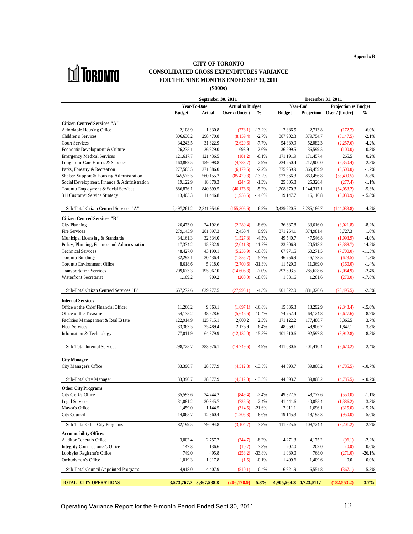**Appendix B**



#### **CITY OF TORONTO CONSOLIDATED GROSS EXPENDITURES VARIANCE FOR THE NINE MONTHS ENDED SEP 30, 2011 (\$000s)**

|                                                                 | September 30, 2011                                                                                                                                 | <b>December 31, 2011</b>                                                      |
|-----------------------------------------------------------------|----------------------------------------------------------------------------------------------------------------------------------------------------|-------------------------------------------------------------------------------|
|                                                                 | Year-To-Date Actual vs Budget                                                                                                                      | <b>Year-End</b> Projection vs Budget                                          |
|                                                                 |                                                                                                                                                    | Budget Actual Over / (Under) % Budget Projection Over / (Under) %             |
| <b>Citizen Centred Services "A"</b>                             |                                                                                                                                                    |                                                                               |
| Affordable Housing Office                                       |                                                                                                                                                    | 2,108.9 1,830.8 (278.1) 13.2% 2,886.5 2,713.8 (172.7) -6.0%                   |
| Children's Services                                             | 306,630.2 298,470.8 (8,159.4) -2.7% 387,902.3 379,754.7 (8,147.5) -2.1%                                                                            |                                                                               |
| Court Services                                                  |                                                                                                                                                    | 34,243.5 31,622.9 (2,620.6) -7.7% 54,339.9 52,082.3 (2,257.6) -4.2%           |
| Economic Development & Culture                                  |                                                                                                                                                    | 26,235.1 26,929.0 693.9 2.6% 36,699.5 36,599.5 (100.0) -0.3%                  |
| <b>Emergency Medical Services</b>                               |                                                                                                                                                    | 121,617.7 121,436.5 (181.2) -0.1% 171,191.9 171,457.4 265.5 0.2%              |
| Long Term Care Homes & Services<br>Parks, Forestry & Recreation | 163,882.5 159,098.8 (4,783.7) -2.9% 224,250.4 217,900.0 (6,350.4) -2.8%<br>277,565.5 271,386.0 (6,179.5) -2.2% 375,959.9 369,459.9 (6,500.0) -1.7% |                                                                               |
| Shelter, Support & Housing Administration                       | 645,575.5 560,155.2 (85,420.3) -13.2% 922,866.3 869,456.8 (53,409.5) -5.8%                                                                         |                                                                               |
| Social Development, Finance & Administration                    |                                                                                                                                                    | 19,122.9 18,878.3 (244.6) -1.3% 25,605.8 25,328.4 (277.4) -1.1%               |
| Toronto Employment & Social Services                            | 886,876.1 840,699.5 (46,176.6) -5.2% 1,208,370.3 1,144,317.1 (64,053.2) -5.3%                                                                      |                                                                               |
| 311 Customer Service Strategy                                   |                                                                                                                                                    | 13,403.3 11,446.8 (1,956.5) -14.6% 19,147.7 16,116.8 (3,030.9) -15.8%         |
|                                                                 |                                                                                                                                                    |                                                                               |
| Sub-Total Citizen Centred Services "A"                          | 2,497,261.2 2,341,954.6 (155,306.6) -6.2% 3,429,220.5 3,285,186.7 (144,033.8) -4.2%                                                                |                                                                               |
| <b>Citizen Centred Services "B"</b>                             |                                                                                                                                                    |                                                                               |
| City Planning                                                   | 26,473.0 24,192.6 (2,280.4) -8.6% 36,637.8 33,616.0 (3,021.8) -8.2%                                                                                |                                                                               |
| Fire Services                                                   | 279,143.9 281,597.3 2,453.4 0.9% 371,254.1 374,981.4 3,727.3 1.0%                                                                                  |                                                                               |
| Municipal Licensing & Standards                                 |                                                                                                                                                    | 34,161.3 32,634.0 (1,527.3) -4.5% 49,540.7 47,546.8 (1,993.9) -4.0%           |
| Policy, Planning, Finance and Administration                    | 17,374.2 15,332.9 (2,041.3) -11.7% 23,906.9 20,518.2 (3,388.7) -14.2%                                                                              |                                                                               |
| <b>Technical Services</b><br>Toronto Buildings                  | 32,292.1 30,436.4 (1,855.7) -5.7% 46,756.9 46,133.5 (623.5) -1.3%                                                                                  | 48,427.0 43,190.1 (5,236.9) -10.8% 67,971.5 60,271.5 (7,700.0) -11.3%         |
| Toronto Environment Office                                      |                                                                                                                                                    | 8,618.6 5,918.0 (2,700.6) 31.3% 11,529.0 11,369.0 (160.0) -1.4%               |
| <b>Transportation Services</b>                                  | 209,673.3 195,067.0 (14,606.3) -7.0% 292,693.5 285,628.6 (7,064.9) -2.4%                                                                           |                                                                               |
| <b>Waterfront Secretariat</b>                                   |                                                                                                                                                    | $1,109.2$ $909.2$ $(200.0)$ $-18.0\%$ $1,531.6$ $1,261.6$ $(270.0)$ $-17.6\%$ |
|                                                                 |                                                                                                                                                    |                                                                               |
| Sub-Total Citizen Centred Services "B"                          | 657,272.6 629,277.5 (27,995.1) -4.3% 901,822.0 881,326.6 (20,495.5) -2.3%                                                                          |                                                                               |
| <b>Internal Services</b>                                        |                                                                                                                                                    |                                                                               |
| Office of the Chief Financial Officer                           | 11,260.2 9,363.1 (1,897.1) -16.8% 15,636.3 13,292.9 (2,343.4) -15.0%                                                                               |                                                                               |
| Office of the Treasurer                                         |                                                                                                                                                    | 54,175.2 48,528.6 (5,646.6) -10.4% 74,752.4 68,124.8 (6,627.6) -8.9%          |
| Facilities Management & Real Estate                             |                                                                                                                                                    | 122,914.9 125,715.1 2,800.2 2.3% 171,122.2 177,488.7 6,366.5 3.7%             |
| Fleet Services                                                  |                                                                                                                                                    | 33,363.5 35,489.4 2,125.9 6.4% 48,059.1 49,906.2 1,847.1 3.8%                 |
| Information & Technology                                        |                                                                                                                                                    | 77,011.9 64,879.9 (12,132.0) 15.8% 101,510.6 92,597.8 (8,912.8) -8.8%         |
| Sub-Total Internal Services                                     | 298,725.7 283,976.1 (14,749.6) -4.9% 411,080.6 401,410.4 (9,670.2) -2.4%                                                                           |                                                                               |
|                                                                 |                                                                                                                                                    |                                                                               |
| <b>City Manager</b>                                             |                                                                                                                                                    |                                                                               |
| City Manager's Office                                           | 33,390.7 28,877.9 (4,512.8) 13.5% 44,593.7 39,808.2 (4,785.5) 10.7%                                                                                |                                                                               |
|                                                                 |                                                                                                                                                    |                                                                               |
| Sub-Total City Manager                                          |                                                                                                                                                    | 33,390.7 28,877.9 (4,512.8) -13.5% 44,593.7 39,808.2 (4,785.5) -10.7%         |
| <b>Other City Programs</b>                                      |                                                                                                                                                    |                                                                               |
| City Clerk's Office                                             |                                                                                                                                                    | 35,593.6 34,744.2 (849.4) -2.4% 49,327.6 48,777.6 (550.0) -1.1%               |
| Legal Services                                                  |                                                                                                                                                    | 31,081.2 30,345.7 (735.5) -2.4% 41,441.6 40,055.4 (1,386.2) -3.3%             |
| Mayor's Office                                                  |                                                                                                                                                    | 1,459.0 1,144.5 (314.5) -21.6% 2,011.1 1,696.1 (315.0) -15.7%                 |
| City Council                                                    |                                                                                                                                                    | 14,065.7 12,860.4 (1,205.3) -8.6% 19,145.3 18,195.3 (950.0) -5.0%             |
| Sub-Total Other City Programs                                   | 82,199.5 79,094.8 (3,104.7) -3.8% 111,925.6 108,724.4 (3,201.2) -2.9%                                                                              |                                                                               |
| <b>Accountability Offices</b>                                   |                                                                                                                                                    |                                                                               |
| Auditor General's Office                                        |                                                                                                                                                    | 3,002.4 2,757.7 (244.7) -8.2% 4,271.3 4,175.2 (96.1) -2.2%                    |
| Integrity Commissioner's Office                                 |                                                                                                                                                    | 147.3 136.6 (10.7) -7.3% 202.0 202.0 (0.0) 0.0%                               |
| Lobbyist Registrar's Office                                     |                                                                                                                                                    | 749.0 495.8 (253.2) -33.8% 1,039.0 768.0 (271.0) -26.1%                       |
| Ombudsman's Office                                              |                                                                                                                                                    | 1,019.3 1,017.8 (1.5) -0.1% 1,409.6 1,409.6 0.0 0.0%                          |
| Sub-Total Council Appointed Programs                            |                                                                                                                                                    | 4,918.0 4,407.9 (510.1) -10.4% 6,921.9 6,554.8 (367.1) -5.3%                  |
|                                                                 |                                                                                                                                                    |                                                                               |
| <b>TOTAL - CITY OPERATIONS</b>                                  | $3,573,767.7$ $3,367,588.8$ $(206,178.9)$ $5.8\%$ $4,905,564.3$ $4,723,011.1$ $(182,553.2)$ $3.7\%$                                                |                                                                               |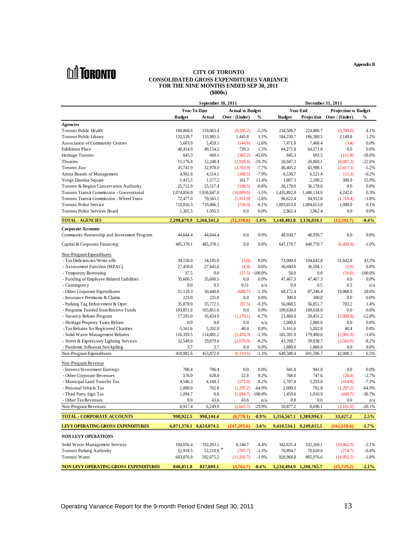**M** TORONTO

#### **CONSOLIDATED GROSS EXPENDITURES VARIANCE FOR THE NINE MONTHS ENDED SEP 30, 2011**

| <b>DUI IORONTO</b>                                                        | <b>CITY OF TORONTO</b><br><b>CONSOLIDATED GROSS EXPENDITURES VARIANCE</b><br>FOR THE NINE MONTHS ENDED SEP 30, 2011                                                                                                                     |                                                                                                         |                                                     |
|---------------------------------------------------------------------------|-----------------------------------------------------------------------------------------------------------------------------------------------------------------------------------------------------------------------------------------|---------------------------------------------------------------------------------------------------------|-----------------------------------------------------|
|                                                                           | $(\$000s)$                                                                                                                                                                                                                              |                                                                                                         |                                                     |
|                                                                           | September 30, 2011                                                                                                                                                                                                                      |                                                                                                         | December 31, 2011                                   |
|                                                                           | <b>Actual vs Budget</b><br>Year-To-Date                                                                                                                                                                                                 | <b>Year-End</b>                                                                                         | <b>Projection vs Budget</b>                         |
|                                                                           | Budget Actual Over/(Under) % Budget Projection Over/(Under) %                                                                                                                                                                           |                                                                                                         |                                                     |
| Agencies<br>Toronto Public Health                                         | 168,868.6 159,663.4                                                                                                                                                                                                                     | $(9,205.2)$ $-5.5\%$ $234,506.7$ $224,806.7$ $(9,700.0)$ $-4.1\%$                                       |                                                     |
| Toronto Public Library                                                    | 132,539.7 133,985.5                                                                                                                                                                                                                     | 1,445.8 1.1% 184,230.7 186,380.5                                                                        | 2,149.8 1.2%                                        |
| Association of Community Centres                                          | 5,459.1<br>5,603.9<br>$(144.8)$ $-2.6\%$                                                                                                                                                                                                | 7,471.8 7,468.4                                                                                         | $(3.4)$ 0.0%                                        |
| <b>Exhibition Place</b>                                                   | 48,414.9 49,154.2                                                                                                                                                                                                                       | 739.3 1.5% 64,271.8 64,271.8                                                                            | $0.0 \hspace{1.5cm} 0.0\%$                          |
| Heritage Toronto                                                          | 460.1<br>845.3<br>$(385.2)$ $-45.6\%$                                                                                                                                                                                                   |                                                                                                         | 845.3 693.5 (151.8) -18.0%                          |
| Theatres                                                                  | 15,176.8 12,248.4                                                                                                                                                                                                                       | $(2,928.4)$ -19.3% $26,947.3$ $20,860.1$ $(6,087.2)$ -22.6%                                             |                                                     |
| Toronto Zoo<br>Arena Boards of Management                                 | 35,741.9 32,978.0<br>4,902.6<br>4,514.1<br>$(388.5)$ -7.9%                                                                                                                                                                              | $(2,763.9)$ -7.7% 46,405.2 43,988.1 $(2,417.1)$ -5.2%<br>6,536.7 6,521.4                                | $(15.3)$ $-0.2\%$                                   |
| Yonge Dundas Square                                                       | 1,415.5 1,577.2                                                                                                                                                                                                                         | 161.7 11.4% 1,887.3 2,188.2 300.9 15.9%                                                                 |                                                     |
| Toronto & Region Conservation Authority                                   | 25,715.9 25,517.4                                                                                                                                                                                                                       | $(198.5)$ $-0.8\%$ $36,170.0$ $36,170.0$                                                                | $0.0\qquad 0.0\%$                                   |
| Toronto Transit Commission - Conventional                                 | 1,074,856.0 1,058,847.0                                                                                                                                                                                                                 | $(16,009.0)$ $-1.5\%$ $1,435,892.0$ $1,440,134.0$ $4,242.0$ $0.3\%$                                     |                                                     |
| Toronto Transit Commission - Wheel Trans<br><b>Toronto Police Service</b> | 72,477.0 70,565.1<br>710,816.3 710,066.3                                                                                                                                                                                                | $(1,911.9)$ -2.6% 96,622.4 94,912.0 $(1,710.4)$ -1.8%<br>$(750.0)$ $-0.1\%$ $1,003,653.0$ $1,004,653.0$ | 1,000.0 0.1%                                        |
| Toronto Police Services Board                                             | 1,305.5 1,305.5                                                                                                                                                                                                                         | 0.0 0.0% 2,962.4 2,962.4 0.0 0.0%                                                                       |                                                     |
|                                                                           | $2,298,679.9$ $2,266,341.3$ $(32,338.6)$ $-1.4\%$ $3,148,402.8$ $3,136,010.1$ $(12,392.7)$ $-0.4\%$                                                                                                                                     |                                                                                                         |                                                     |
| <b>TOTAL - AGENCIES</b>                                                   |                                                                                                                                                                                                                                         |                                                                                                         |                                                     |
| <b>Corporate Accounts</b><br>Community Partnership and Investment Program | 44,644.4 44,644.4                                                                                                                                                                                                                       | 0.0 0.0% 48,930.7 48,930.7                                                                              | $0.0 \hspace{1.5cm} 0.0\%$                          |
|                                                                           |                                                                                                                                                                                                                                         | 0.0 0.0% 647,170.7 640,770.7 $(6,400.0)$ -1.0%                                                          |                                                     |
| Capital & Corporate Financing                                             | 485,378.1 485,378.1                                                                                                                                                                                                                     |                                                                                                         |                                                     |
| Non-Program Expenditures                                                  |                                                                                                                                                                                                                                         |                                                                                                         |                                                     |
| - Tax Deficiencies/Write-offs                                             | 34,150.0 34,145.0                                                                                                                                                                                                                       | 73,000.0 104,642.8<br>$(5.0)$ 0.0%                                                                      | 31,642.8 43.3%                                      |
| - Assessment Function (MPAC)                                              | 27,450.0 27,445.6                                                                                                                                                                                                                       | 36,600.0<br>36,594.1<br>$(4.4)$ 0.0%                                                                    | $(5.9)$ 0.0%<br>$(50.0)$ $-100.0\%$                 |
| - Temporary Borrowing<br>- Funding of Employee Related Liabilities        | 37.5 0.0<br>35,600.5 35,600.5<br>0.0                                                                                                                                                                                                    | 50.0<br>$(37.5) -100.0\%$<br>0.0<br>47,467.3<br>47,467.3<br>$0.0\%$                                     | $0.0 \hspace{35pt} 0.0\%$                           |
| - Contingency                                                             | $0.0\,$<br>0.5<br>0.51                                                                                                                                                                                                                  | 0.0<br>0.5<br>n/a                                                                                       | $0.5 \qquad n/a$                                    |
| - Other Corporate Expenditures                                            | 51,129.3 50,440.6                                                                                                                                                                                                                       | $(688.7)$ -1.3% 68,172.4 87,240.4                                                                       | 19,068.0 28.0%                                      |
| - Insurance Premiums & Claims                                             | 225.0<br>225.0                                                                                                                                                                                                                          | 300.0<br>300.0<br>$0.0\qquad 0.0\%$                                                                     | $0.0 \hspace{1.5cm} 0.0\%$                          |
| - Parking Tag Enforcement & Oper.                                         | 35,870.0 35,772.5                                                                                                                                                                                                                       | $(97.5)$ $-0.3\%$<br>56,068.5<br>56,851.7                                                               | 783.2 1.4%                                          |
| - Programs Funded from Reserve Funds<br>- Vacancy Rebate Program          | 103,851.6 103,851.6<br>17,595.0 16,424.9                                                                                                                                                                                                | 0.0 0.0% 109,638.0 109,638.0<br>$(1,170.1)$ $-6.7\%$ $23,460.0$ $20,451.2$                              | $0.0 \hspace{1.5cm} 0.0\%$<br>$(3,008.8)$ $-12.8\%$ |
| - Heritage Property Taxes Rebate                                          | 0.0<br>0.0                                                                                                                                                                                                                              | 2,000.0<br>2,000.0<br>$0.0 \qquad n/a$                                                                  | $0.0 \hspace{1.5cm} 0.0\%$                          |
| - Tax Rebates for Registered Charities                                    | 5,161.6 5,202.0                                                                                                                                                                                                                         | 5,161.6<br>5,202.0<br>40.4 0.8%                                                                         | 40.4 0.8%                                           |
| - Solid Waste Management Rebates                                          | 116,359.5 114,881.2                                                                                                                                                                                                                     | $(1,478.3)$ $-1.3\%$ $182,391.9$ $179,490.0$ $(2,901.9)$ $-1.6\%$                                       |                                                     |
| - Street & Expressway Lighting Services                                   | 32,549.0 29,879.0                                                                                                                                                                                                                       | $(2,670.0)$ -8.2% 43,398.7 39,838.7 $(3,560.0)$ -8.2%                                                   |                                                     |
| - Pandemic Influenza Stockpiling<br>Non-Program Expenditures              | $3.7$ $3.7$ $0.0$ $0.0\%$ $1,880.0$ $1,880.0$ $0.0$ $0.0\%$<br>459,982.6 453,872.0 (6,110.6) -1.3% 649,588.4 691,596.7 42,008.3 6.5%                                                                                                    |                                                                                                         |                                                     |
|                                                                           |                                                                                                                                                                                                                                         |                                                                                                         |                                                     |
| Non-Program Revenue                                                       | 706.4 706.4 0.0 0.0% 941.8 941.8 0.0 0.0%                                                                                                                                                                                               |                                                                                                         |                                                     |
| - Interest/Investment Earnings<br>- Other Corporate Revenues              | 576.0 628.8                                                                                                                                                                                                                             | 52.8 9.2% 768.0 747.6 (20.4) -2.7%                                                                      |                                                     |
| - Municipal Land Transfer Tax                                             | 4,540.3 4,168.3 (372.0) -8.2% 5,707.8 5,293.0 (414.8) -7.3%                                                                                                                                                                             |                                                                                                         |                                                     |
| - Personal Vehicle Tax                                                    | 2,000.0                                                                                                                                                                                                                                 | 702.8 (1,297.2) -64.9% 2,000.0 702.8 (1,297.2) -64.9%                                                   |                                                     |
| - Third Party Sign Tax                                                    | 1,094.7 0.0 $(1,094.7)$ -100.0% 1,459.6 1,010.9 $(448.7)$ -30.7%                                                                                                                                                                        |                                                                                                         |                                                     |
| - Other Tax Revenues<br>Non-Program Revenues                              | 0.0 43.6 43.6 $n/a$ 0.0 0.0 $n/a$<br>8,917.4 6,249.9 (2,667.5) -29.9% 10,877.2 8,696.1 (2,181.0) -20.1%                                                                                                                                 |                                                                                                         |                                                     |
|                                                                           |                                                                                                                                                                                                                                         |                                                                                                         |                                                     |
| <b>TOTAL - CORPORATE ACCOUNTS</b>                                         | $998,922.5$ $990,144.4$ $(8,778.1)$ $-0.9\%$ $1,356,567.1$ $1,389,994.3$ $33,427.2$ $2.5\%$                                                                                                                                             |                                                                                                         |                                                     |
| LEVY OPERATING GROSS EXPENDITURES                                         | $6,871,370.1$ $6,624,074.5$ $(247,295.6)$ $3.6\%$ $9,410,534.1$ $9,249,015.5$ $(161,518.6)$ $-1.7\%$                                                                                                                                    |                                                                                                         |                                                     |
| NON LEVY OPERATIONS                                                       |                                                                                                                                                                                                                                         |                                                                                                         |                                                     |
|                                                                           |                                                                                                                                                                                                                                         |                                                                                                         |                                                     |
| Solid Waste Management Services<br>Toronto Parking Authority              | $184,056.4 \qquad 192,203.1 \qquad \qquad 8,146.7 \qquad \qquad 4.4\% \qquad \qquad 342,631.4 \qquad \qquad 332,169.1 \qquad \qquad (10,462.3) \qquad \qquad -3.1\%$<br>52,918.5 52,210.8 (707.7) -1.3% 70,894.7 70,620.0 (274.7) -0.4% |                                                                                                         |                                                     |
| Toronto Water                                                             | $603,876.9$ $592,675.2$ $(11,201.7)$ $-1.9\%$ $820,968.8$ $805,976.6$ $(14,992.2)$ $-1.8\%$                                                                                                                                             |                                                                                                         |                                                     |
|                                                                           | NON LEVY OPERATING GROSS EXPENDITURES 840,851.8 837,089.1 (3,762.7) 0.4% 1,234,494.9 1,208,765.7 (25,729.2) -2.1%                                                                                                                       |                                                                                                         |                                                     |
|                                                                           |                                                                                                                                                                                                                                         |                                                                                                         |                                                     |

**Appendix B**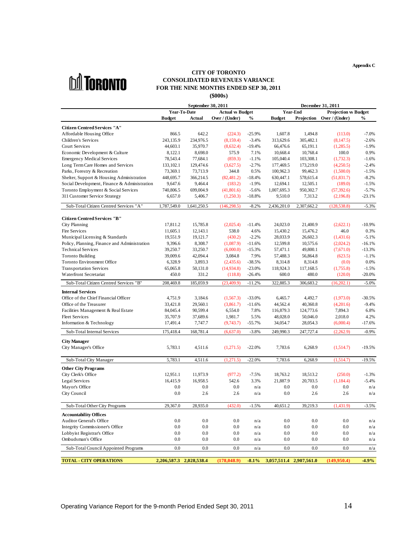**Appendix C**



#### **CITY OF TORONTO (\$000s) FOR THE NINE MONTHS ENDED SEP 30, 2011**<br>FOR THE NINE MONTHS ENDED SEP 30, 2011 **CONSOLIDATED REVENUES VARIANCE**

|                                                                                                                            | September 30, 2011                                                                                    |                  |                   | December 31, 2011                                                                       |     |
|----------------------------------------------------------------------------------------------------------------------------|-------------------------------------------------------------------------------------------------------|------------------|-------------------|-----------------------------------------------------------------------------------------|-----|
|                                                                                                                            | Year-To-Date Actual vs Budget                                                                         |                  |                   | <b>Year-End</b> Projection vs Budget                                                    |     |
|                                                                                                                            |                                                                                                       |                  |                   | Budget Actual Over / (Under) % Budget Projection Over / (Under) %                       |     |
| <b>Citizen Centred Services "A"</b>                                                                                        |                                                                                                       |                  |                   |                                                                                         |     |
| Affordable Housing Office                                                                                                  |                                                                                                       |                  |                   | 866.5 642.2 (224.3) -25.9% 1,607.8 1,494.8 (113.0) -7.0%                                |     |
| Children's Services                                                                                                        |                                                                                                       |                  |                   | 243,135.9 234,976.5 (8,159.4) -3.4% 313,629.6 305,482.1 (8,147.5) -2.6%                 |     |
| <b>Court Services</b>                                                                                                      | 44,603.1 35,970.7                                                                                     |                  |                   | $(8,632.4)$ -19.4% 66,476.6 65,191.1 (1,285.5) -1.9%                                    |     |
| Economic Development & Culture                                                                                             | 8,122.1 8,698.0                                                                                       |                  |                   | 575.9 7.1% 10,668.4 10,768.4 100.0 0.9%                                                 |     |
| <b>Emergency Medical Services</b>                                                                                          |                                                                                                       |                  |                   | 78,543.4 77,684.1 (859.3) -1.1% 105,040.4 103,308.1 (1,732.3) -1.6%                     |     |
| Long Term Care Homes and Services                                                                                          |                                                                                                       |                  |                   | 133,102.1 129,474.6 (3,627.5) -2.7% 177,469.5 173,219.0 (4,250.5) -2.4%                 |     |
| Parks, Forestry & Recreation                                                                                               |                                                                                                       |                  |                   | 73,369.1 73,713.9 344.8 0.5% 100,962.3 99,462.3 (1,500.0) -1.5%                         |     |
| Shelter, Support & Housing Administration                                                                                  | 448,695.7 366,214.5 (82,481.2) -18.4% 630,447.1 578,615.4 (51,831.7) -8.2%                            |                  |                   |                                                                                         |     |
| Social Development, Finance & Administration 9,647.6 9,464.4 (183.2) -1.9% 12,694.1 12,505.1 (189.0) -1.5%                 |                                                                                                       |                  |                   |                                                                                         |     |
| Toronto Employment & Social Services                                                                                       |                                                                                                       |                  |                   | 740,806.5 699,004.9 (41,801.6) -5.6% 1,007,695.3 950,302.7 (57,392.6) -5.7%             |     |
| 311 Customer Service Strategy                                                                                              |                                                                                                       |                  |                   | 6,657.0 5,406.7 (1,250.3) -18.8% 9,510.0 7,313.2 (2,196.8) -23.1%                       |     |
| Sub-Total Citizen Centred Services "A" 1,787,549.0 1,641,250.5 (146,298.5) -8.2% 2,436,201.0 2,307,662.2 (128,538.8) -5.3% |                                                                                                       |                  |                   |                                                                                         |     |
|                                                                                                                            |                                                                                                       |                  |                   |                                                                                         |     |
| <b>Citizen Centred Services "B"</b>                                                                                        |                                                                                                       |                  |                   |                                                                                         |     |
| City Planning                                                                                                              | 17,811.2 15,785.8                                                                                     |                  |                   | $(2,025.4)$ -11.4% 24,023.0 21,400.9 $(2,622.1)$ -10.9%                                 |     |
| Fire Services                                                                                                              | 11,605.1 12,143.1                                                                                     |                  |                   | 538.0 4.6% 15,430.2 15,476.2 46.0 0.3%                                                  |     |
| Municipal Licensing & Standards                                                                                            |                                                                                                       |                  |                   | 19,551.9 19,121.7 (430.2) -2.2% 28,033.9 26,602.3 (1,431.6) -5.1%                       |     |
| Policy, Planning, Finance and Administration                                                                               |                                                                                                       |                  |                   | 9,396.6 8,308.7 (1,087.9) -11.6% 12,599.8 10,575.6 (2,024.2) -16.1%                     |     |
| <b>Technical Services</b>                                                                                                  |                                                                                                       |                  |                   | $39,250.7$ $33,250.7$ $(6,000.0)$ $-15.3\%$ $57,471.1$ $49,800.1$ $(7,671.0)$ $-13.3\%$ |     |
| Toronto Building                                                                                                           |                                                                                                       |                  |                   | 39,009.6 42,094.4 3,084.8 7.9% 57,488.3 56,864.8 (623.5) -1.1%                          |     |
| Toronto Environment Office                                                                                                 |                                                                                                       |                  |                   | 6,328.9 3,893.3 (2,435.6) -38.5% 8,314.8 8,314.8 (0.0) 0.0%                             |     |
| <b>Transportation Services</b>                                                                                             |                                                                                                       |                  |                   | 65,065.8 50,131.0 (14,934.8) -23.0% 118,924.3 117,168.5 (1,755.8) -1.5%                 |     |
| <b>Waterfront Secretariat</b>                                                                                              |                                                                                                       |                  |                   | 450.0 331.2 (118.8) -26.4% 600.0 480.0 (120.0) -20.0%                                   |     |
| Sub-Total Citizen Centred Services "B"                                                                                     | 208,469.8 185,059.9 (23,409.9) -11.2% 322,885.3 306,683.2 (16,202.1) -5.0%                            |                  |                   |                                                                                         |     |
|                                                                                                                            |                                                                                                       |                  |                   |                                                                                         |     |
| <b>Internal Services</b>                                                                                                   |                                                                                                       |                  |                   | 4,751.9 3,184.6 (1,567.3) -33.0% 6,465.7 4,492.7 (1,973.0) -30.5%                       |     |
| Office of the Chief Financial Officer<br>Office of the Treasurer                                                           |                                                                                                       |                  |                   | 33,421.8 29,560.1 (3,861.7) -11.6% 44,562.4 40,360.8 (4,201.6) -9.4%                    |     |
| Facilities Management & Real Estate                                                                                        |                                                                                                       |                  |                   | 84,045.4 90,599.4 6,554.0 7.8% 116,879.3 124,773.6 7,894.3 6.8%                         |     |
| <b>Fleet Services</b>                                                                                                      |                                                                                                       |                  |                   | 35,707.9 37,689.6 1,981.7 5.5% 48,028.0 50,046.0 2,018.0 4.2%                           |     |
| Information & Technology                                                                                                   |                                                                                                       |                  |                   | 17,491.4 7,747.7 (9,743.7) -55.7% 34,054.7 28,054.3 (6,000.4) -17.6%                    |     |
|                                                                                                                            |                                                                                                       |                  |                   |                                                                                         |     |
| Sub-Total Internal Services                                                                                                |                                                                                                       |                  |                   | 175,418.4 168,781.4 (6,637.0) -3.8% 249,990.3 247,727.4 (2,262.9) -0.9%                 |     |
| <b>City Manager</b>                                                                                                        |                                                                                                       |                  |                   |                                                                                         |     |
| City Manager's Office                                                                                                      |                                                                                                       |                  |                   | 5,783.1 4,511.6 (1,271.5) -22.0% 7,783.6 6,268.9 (1,514.7) -19.5%                       |     |
|                                                                                                                            |                                                                                                       |                  |                   |                                                                                         |     |
| Sub-Total City Manager                                                                                                     |                                                                                                       |                  |                   | 5,783.1 4,511.6 (1,271.5) -22.0% 7,783.6 6,268.9 (1,514.7) -19.5%                       |     |
| <b>Other City Programs</b>                                                                                                 |                                                                                                       |                  |                   |                                                                                         |     |
| City Clerk's Office                                                                                                        |                                                                                                       |                  |                   | 12,951.1 11,973.9 (977.2) -7.5% 18,763.2 18,513.2 (250.0) -1.3%                         |     |
| Legal Services                                                                                                             |                                                                                                       |                  |                   | 16,415.9 16,958.5 542.6 3.3% 21,887.9 20,703.5 (1,184.4) -5.4%                          |     |
| Mayor's Office                                                                                                             |                                                                                                       |                  |                   | 0.0 		 0.0 		 0.0 		 n/a 		 0.0 		 0.0 		 0.0 		 n/a                                    |     |
| City Council                                                                                                               |                                                                                                       |                  |                   | 0.0 2.6 2.6 $n/a$ 0.0 2.6 $n/a$                                                         |     |
|                                                                                                                            |                                                                                                       |                  |                   |                                                                                         |     |
| Sub-Total Other City Programs 29,367.0 28,935.0 (432.0) -1.5% 40,651.2 39,219.3 (1,431.9) -3.5%                            |                                                                                                       |                  |                   |                                                                                         |     |
|                                                                                                                            |                                                                                                       |                  |                   |                                                                                         |     |
| <b>Accountability Offices</b><br>Auditor General's Office                                                                  | $0.0$ 0.0                                                                                             | $0.0\,$          |                   |                                                                                         |     |
| Integrity Commissioner's Office                                                                                            | $0.0$ 0.0                                                                                             | $0.0 \qquad n/a$ | 0.0               | 0.0                                                                                     |     |
| Lobbyist Registrar's Office                                                                                                | $0.0$ 0.0                                                                                             |                  | 0.0 $n/a$ 0.0 0.0 | $0.0\,$                                                                                 | n/a |
| Ombudsman's Office                                                                                                         | $0.0$ 0.0                                                                                             |                  |                   | 0.0 $n/a$ 0.0   0.0 $n/a$                                                               |     |
| Sub-Total Council Appointed Programs                                                                                       |                                                                                                       |                  |                   | 0.0 0.0 0.0 $n/a$ 0.0 0.0 $n/a$                                                         |     |
|                                                                                                                            |                                                                                                       |                  |                   |                                                                                         |     |
| <b>TOTAL - CITY OPERATIONS</b>                                                                                             | $2,206,587.3$ $2,028,538.4$ $(178,048.9)$ $-8.1\%$ $3,057,511.4$ $2,907,561.0$ $(149,950.4)$ $-4.9\%$ |                  |                   |                                                                                         |     |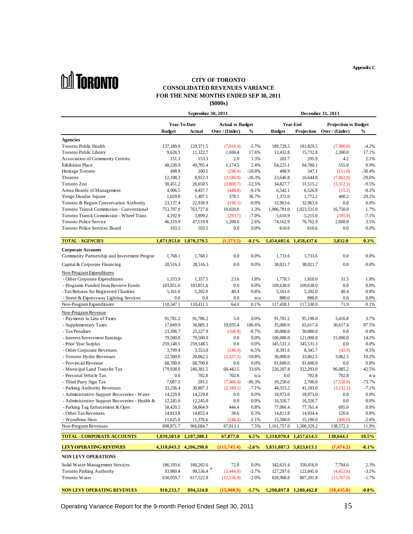# **nd** Toronto

#### **CITY OF TORONTO CONSOLIDATED REVENUES VARIANCE FOR THE NINE MONTHS ENDED SEP 30, 2011 (\$000s)**

|                                                                                                          | September 30, 2011                                                                                  |                         |                                              | December 31, 2011                                                    |
|----------------------------------------------------------------------------------------------------------|-----------------------------------------------------------------------------------------------------|-------------------------|----------------------------------------------|----------------------------------------------------------------------|
|                                                                                                          | <b>Year-To-Date</b>                                                                                 | <b>Actual vs Budget</b> | Year-End                                     | <b>Projection vs Budget</b>                                          |
|                                                                                                          | Budget Actual Over / (Under) % Budget Projection Over / (Under) %                                   |                         |                                              |                                                                      |
| Agencies                                                                                                 |                                                                                                     |                         |                                              |                                                                      |
| Toronto Public Health                                                                                    | 137,189.9 129,371.5                                                                                 |                         | $(7,818.4)$ $-5.7\%$ $189,729.5$ $181,829.5$ | $(7,900.0)$ $-4.2\%$                                                 |
| Toronto Public Library                                                                                   | 9,626.3 11,322.7                                                                                    |                         | 1,696.4 17.6% 13,432.8 15,732.8              | 2,300.0 17.1%                                                        |
| Association of Community Centres                                                                         | 153.3<br>151.3                                                                                      |                         | 2.0 1.3% 201.7 205.9                         | 4.2 2.1%                                                             |
| <b>Exhibition Place</b>                                                                                  | 48,530.9 49,705.4                                                                                   |                         | 1,174.5 2.4% 64,225.1 64,780.1               | 555.0 0.9%                                                           |
| Heritage Toronto                                                                                         | 200.5<br>498.9                                                                                      | $(298.4)$ $-59.8\%$     |                                              | 498.9 347.1 (151.8) -30.4%                                           |
| Theatres                                                                                                 | 8,922.3<br>12,108.3                                                                                 |                         | $(3,186.0)$ $-26.3\%$ $23,646.8$ $16,644.8$  | $(7,002.0)$ $-29.6\%$                                                |
| Toronto Zoo                                                                                              | 30,451.2 26,650.5                                                                                   |                         | $(3,800.7)$ -12.5% 34,827.7 31,515.2         | $(3,312.5)$ -9.5%                                                    |
| Arena Boards of Management                                                                               | 4,906.5 4,457.7                                                                                     |                         | $(448.8)$ $-9.1\%$ $6,542.1$ $6,526.9$       | $(15.2)$ $-0.2\%$                                                    |
| Yonge Dundas Square<br>Toronto & Region Conservation Authority                                           | 1,029.0 1,407.1<br>23,137.4 22,938.9                                                                | $(198.5)$ $-0.9\%$      | 32,963.6 32,963.6                            | 378.1 36.7% 1,372.0 1,772.2 400.2 29.2%<br>$0.0 \hspace{35pt} 0.0\%$ |
| Toronto Transit Commission - Conventional                                                                | 753,707.0 763,727.0                                                                                 |                         | 10,020.0 1.3% 1,006,781.0 1,023,531.0        | 16,750.0 1.7%                                                        |
| Toronto Transit Commission - Wheel Trans                                                                 | 4,192.9 3,899.2                                                                                     |                         | $(293.7)$ -7.0% 5,610.9 5,215.0              | $(395.9)$ $-7.1\%$                                                   |
| <b>Toronto Police Service</b>                                                                            | 46,319.9 47,519.9                                                                                   |                         |                                              | 1,200.0 2.6% 74,162.9 76,762.9 2,600.0 3.5%                          |
| Toronto Police Services Board                                                                            | 103.5 103.5                                                                                         |                         |                                              | $0.0$ $0.0\%$ $610.6$ $610.6$ $0.0$ $0.0\%$                          |
|                                                                                                          |                                                                                                     |                         |                                              |                                                                      |
| <b>TOTAL - AGENCIES</b>                                                                                  | $1,071,953.0$ $1,070,379.5$ $(1,573.5)$ $0.1\%$ $1,454,605.6$ $1,458,437.6$ $3,832.0$ $0.3\%$       |                         |                                              |                                                                      |
| <b>Corporate Accounts</b>                                                                                |                                                                                                     |                         |                                              |                                                                      |
| Community Partnership and Investment Program 1,768.1 1,768.1                                             |                                                                                                     |                         | 0.0 0.0% 1,733.6 1,733.6                     | $0.0 \hspace{35pt} 0.0\%$                                            |
| Capital & Corporate Financing                                                                            | 28,516.3 28,516.3                                                                                   |                         | $0.0$ $0.0\%$ $38,021.7$ $38,021.7$          | $0.0 \hspace{35pt} 0.0\%$                                            |
| Non-Program Expenditures                                                                                 |                                                                                                     |                         |                                              |                                                                      |
| - Other Corporate Expenditures                                                                           | 1,333.9 1,357.5                                                                                     |                         | 23.6 1.8% 1,778.5 1,810.0                    | 31.5 1.8%                                                            |
| - Programs Funded from Reserve Funds                                                                     | 103,851.6 103,851.6                                                                                 |                         | 0.0 0.0% 109,638.0 109,638.0                 | $0.0 \hspace{1.5cm} 0.0\%$                                           |
| - Tax Rebates for Registered Charities                                                                   | 5,161.6 5,202.0                                                                                     |                         | 40.4 0.8% 5,161.6 5,202.0                    | 40.4 0.8%                                                            |
| - Street & Expressway Lighting Service                                                                   | $\frac{0.0}{0.0}$ 0.0 0.0 $\frac{\text{n}}{\text{a}}$ 0.880.0 880.0 0.0 0.0%                        |                         |                                              |                                                                      |
| Non-Program Expenditures                                                                                 | 110,347.1 110,411.1                                                                                 |                         |                                              | 64.0 0.1% 117,458.1 117,530.0 71.9 0.1%                              |
| Non-Program Revenue                                                                                      |                                                                                                     |                         |                                              |                                                                      |
| - Payments in Lieu of Taxes                                                                              | 91,781.2 91,786.2                                                                                   |                         | 5.0 0.0% 91,781.2 95,198.0                   | 3,416.8 3.7%                                                         |
| - Supplementary Taxes                                                                                    | 17,849.9 36,885.3                                                                                   | 19,035.4 106.6%         | 35,000.0 65,617.4                            | 30,617.4 87.5%                                                       |
| - Tax Penalties                                                                                          | 23,396.7 23,227.9                                                                                   |                         | $(168.8)$ $-0.7\%$ $30,000.0$ $30,000.0$     | $0.0 \hspace{35pt} 0.0\%$                                            |
| - Interest/Investment Earnings                                                                           | 79,500.0 79,500.0                                                                                   |                         | $0.0$ $0.0\%$ $106,000.0$ $121,000.0$        | 15,000.0 14.2%                                                       |
| - Prior Year Surplus                                                                                     | 259,148.5 259,148.5                                                                                 |                         | 0.0 0.0% 345,531.3 345,531.3                 | $0.0 \hspace{1.5cm} 0.0\%$                                           |
| - Other Corporate Revenues                                                                               | 3,799.4 3,553.0                                                                                     |                         | $(246.4)$ $-6.5\%$ $8,391.6$ $8,345.7$       | $(45.9)$ $-0.5\%$                                                    |
| - Toronto Hydro Revenues                                                                                 | 22,500.0 20,062.5                                                                                   | $(2,437.5)$ -10.8%      | 30,000.0 33,062.5                            | 3,062.5 10.2%                                                        |
| - Provincial Revenue                                                                                     | 68,700.0 68,700.0                                                                                   |                         | $0.0$ $0.0\%$ $91,600.0$ $91,600.0$          | $0.0 \hspace{1.5cm} 0.0\%$<br>96,085.2 42.5%                         |
| - Municipal Land Transfer Tax<br>- Personal Vehicle Tax                                                  | 179,938.0 240,381.5<br>0.0 702.8                                                                    |                         | 60,443.5 33.6% 226,207.8 322,293.0           | 702.8 $n/a$                                                          |
| - Third Party Sign Tax                                                                                   | 281.1<br>7,687.5                                                                                    |                         | $(7,406.4)$ $-96.3\%$ $10,250.0$ $2,700.0$   | $(7,550.0)$ $-73.7\%$                                                |
| - Parking Authority Revenues                                                                             | 33,236.4 30,887.3                                                                                   |                         | $(2,349.1)$ $-7.1\%$ $44,315.2$ $41,183.0$   | $(3,132.2)$ -7.1%                                                    |
| - Administrative Support Recoveries - Water                                                              | 14,229.8 14,229.8                                                                                   |                         | 0.0 0.0% 18,973.0 18,973.0                   | $0.0 \hspace{1.5cm} 0.0\%$                                           |
| - Administrative Support Recoveries - Health & 12,245.0 12,245.0                                         |                                                                                                     |                         | $0.0$ $0.0\%$ $16,326.7$ $16,326.7$          | $0.0 \hspace{1.5cm} 0.0\%$                                           |
| - Parking Tag Enforcement & Oper.                                                                        | 58,420.5 58,864.9 444.4 0.8% 77,066.4 77,761.4 695.0 0.9%                                           |                         |                                              |                                                                      |
| - Other Tax Revenues 14,813.8 14,813.8 14,852.4 38.6 0.3% 14,813.8 14,934.4 120.6 0.8%                   |                                                                                                     |                         |                                              |                                                                      |
| - Woodbine Slots                                                                                         | 11,625.0 11,376.6 (248.4) -2.1% 15,500.0 15,100.0 (400.0) -2.6%                                     |                         |                                              |                                                                      |
| Non-Program Revenues                                                                                     | 898,871.7 966,684.7 67,813.1 7.5% 1,161,757.0 1,300,329.2 138,572.3 11.9%                           |                         |                                              |                                                                      |
| TOTAL - CORPORATE ACCOUNTS 1,039,503.0 1,107,380.1 67,877.0 6.5% 1,318,970.4 1,457,614.5 138,644.1 10.5% |                                                                                                     |                         |                                              |                                                                      |
|                                                                                                          |                                                                                                     |                         |                                              |                                                                      |
| LEVY OPERATING REVENUES                                                                                  | $4,318,043.3$ $4,206,298.0$ $(111,745.4)$ $-2.6\%$ $5,831,087.3$ $5,823,613.1$ $(7,474.2)$ $-0.1\%$ |                         |                                              |                                                                      |
| NON LEVY OPERATIONS                                                                                      |                                                                                                     |                         |                                              |                                                                      |
| Solid Waste Management Services                                                                          | 186,193.6 186,265.6 72.0 0.0% 342,631.4 350,416.0 7,784.6 2.3%                                      |                         |                                              |                                                                      |
| Toronto Parking Authority                                                                                | 93,980.4 90,536.4 (3,444.0) -3.7% 127,297.6 122,845.0 (4,452.6) -3.5%                               |                         |                                              |                                                                      |
| Toronto Water                                                                                            | 630,059.7 617,522.8 (12,536.9) -2.0% 820,968.8 807,201.8 (13,767.0) -1.7%                           |                         |                                              |                                                                      |
|                                                                                                          |                                                                                                     |                         |                                              |                                                                      |
| NON LEVY OPERATING REVENUES 910,233.7 894,324.8 (15,908.9) 1.7% 1,290,897.8 1,280,462.8 (10,435.0) 0.8%  |                                                                                                     |                         |                                              |                                                                      |

**Appendix C**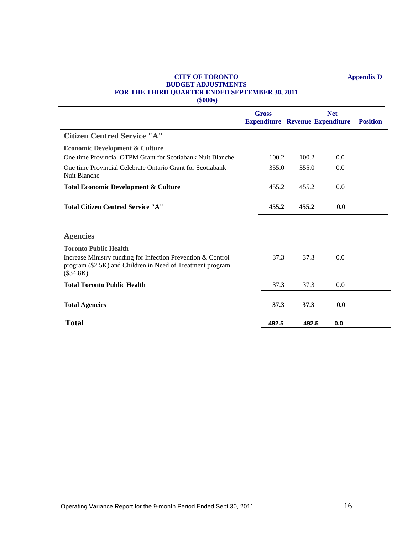### **CITY OF TORONTO Appendix D BUDGET ADJUSTMENTS FOR THE THIRD QUARTER ENDED SEPTEMBER 30, 2011**

**(\$000s)**

|                                                                                                                                         | <b>Gross</b><br><b>Expenditure Revenue Expenditure Position</b> | <b>Net</b>  |
|-----------------------------------------------------------------------------------------------------------------------------------------|-----------------------------------------------------------------|-------------|
| <b>Citizen Centred Service "A"</b>                                                                                                      |                                                                 |             |
| <b>Economic Development &amp; Culture</b>                                                                                               |                                                                 |             |
| One time Provincial OTPM Grant for Scotiabank Nuit Blanche                                                                              | 100.2<br>100.2                                                  | 0.0         |
| One time Provincial Celebrate Ontario Grant for Scotiabank<br>Nuit Blanche                                                              | 355.0<br>355.0                                                  | 0.0         |
| <b>Total Economic Development &amp; Culture</b>                                                                                         | 455.2<br>455.2                                                  | 0.0         |
| <b>Total Citizen Centred Service "A"</b>                                                                                                | 455.2<br>455.2                                                  | $\bf{0.0}$  |
| <b>Agencies</b>                                                                                                                         |                                                                 |             |
| <b>Toronto Public Health</b>                                                                                                            |                                                                 |             |
| Increase Ministry funding for Infection Prevention & Control<br>program (\$2.5K) and Children in Need of Treatment program<br>(\$34.8K) | 37.3<br>37.3                                                    | 0.0         |
| <b>Total Toronto Public Health</b>                                                                                                      | 37.3<br>37.3                                                    | 0.0         |
| <b>Total Agencies</b>                                                                                                                   | 37.3<br>37.3                                                    | 0.0         |
|                                                                                                                                         |                                                                 |             |
| <b>Total</b>                                                                                                                            | $-492.5$                                                        | $492.5$ 0.0 |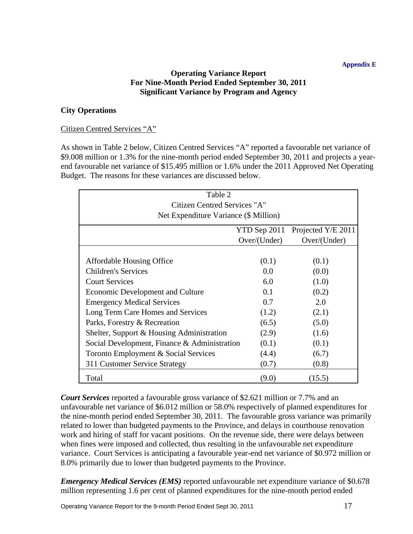## **Appendix E**

## **Operating Variance Report For Nine-Month Period Ended September 30, 2011 Significant Variance by Program and Agency**

## **City Operations**

## Citizen Centred Services "A"

As shown in Table 2 below, Citizen Centred Services "A" reported a favourable net variance of \$9.008 million or 1.3% for the nine-month period ended September 30, 2011 and projects a year end favourable net variance of \$15.495 million or 1.6% under the 2011 Approved Net Operating Budget. The reasons for these variances are discussed below.

| Table 2                                      |              |                    |
|----------------------------------------------|--------------|--------------------|
| Citizen Centred Services "A"                 |              |                    |
| Net Expenditure Variance (\$ Million)        |              |                    |
|                                              | YTD Sep 2011 | Projected Y/E 2011 |
|                                              | Over/(Under) | Over/(Under)       |
| <b>Affordable Housing Office</b>             | (0.1)        | (0.1)              |
| <b>Children's Services</b>                   |              |                    |
|                                              | $0.0\,$      | (0.0)              |
| <b>Court Services</b>                        | 6.0          | (1.0)              |
| <b>Economic Development and Culture</b>      | 0.1          | (0.2)              |
| <b>Emergency Medical Services</b>            | 0.7          | 2.0                |
| Long Term Care Homes and Services            | (1.2)        | (2.1)              |
| Parks, Forestry & Recreation                 | (6.5)        | (5.0)              |
| Shelter, Support & Housing Administration    | (2.9)        | (1.6)              |
| Social Development, Finance & Administration | (0.1)        | (0.1)              |
| Toronto Employment & Social Services         | (4.4)        | (6.7)              |
| 311 Customer Service Strategy                | (0.7)        | (0.8)              |
| Total                                        | (9.0)        | (15.5)             |

*Court Services* reported a favourable gross variance of \$2.621 million or 7.7% and an unfavourable net variance of \$6.012 million or 58.0% respectively of planned expenditures for the nine-month period ended September 30, 2011. The favourable gross variance was primarily related to lower than budgeted payments to the Province, and delays in courthouse renovation work and hiring of staff for vacant positions. On the revenue side, there were delays between when fines were imposed and collected, thus resulting in the unfavourable net expenditure variance. Court Services is anticipating a favourable year-end net variance of \$0.972 million or 8.0% primarily due to lower than budgeted payments to the Province.

*Emergency Medical Services (EMS)* reported unfavourable net expenditure variance of \$0.678 million representing 1.6 per cent of planned expenditures for the nine-month period ended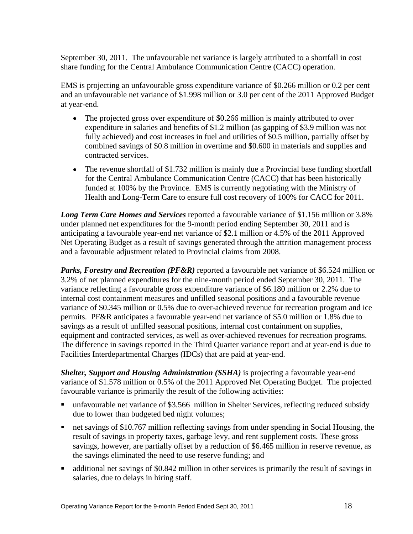September 30, 2011. The unfavourable net variance is largely attributed to a shortfall in cost share funding for the Central Ambulance Communication Centre (CACC) operation.

EMS is projecting an unfavourable gross expenditure variance of \$0.266 million or 0.2 per cent and an unfavourable net variance of \$1.998 million or 3.0 per cent of the 2011 Approved Budget at year-end.

- The projected gross over expenditure of \$0.266 million is mainly attributed to over expenditure in salaries and benefits of \$1.2 million (as gapping of \$3.9 million was not fully achieved) and cost increases in fuel and utilities of \$0.5 million, partially offset by combined savings of \$0.8 million in overtime and \$0.600 in materials and supplies and contracted services.
- The revenue shortfall of \$1.732 million is mainly due a Provincial base funding shortfall for the Central Ambulance Communication Centre (CACC) that has been historically funded at 100% by the Province. EMS is currently negotiating with the Ministry of Health and Long-Term Care to ensure full cost recovery of 100% for CACC for 2011.

*Long Term Care Homes and Services* reported a favourable variance of \$1.156 million or 3.8% under planned net expenditures for the 9-month period ending September 30, 2011 and is anticipating a favourable year-end net variance of \$2.1 million or 4.5% of the 2011 Approved Net Operating Budget as a result of savings generated through the attrition management process and a favourable adjustment related to Provincial claims from 2008.

*Parks, Forestry and Recreation (PF&R)* reported a favourable net variance of \$6.524 million or 3.2% of net planned expenditures for the nine-month period ended September 30, 2011. The variance reflecting a favourable gross expenditure variance of \$6.180 million or 2.2% due to internal cost containment measures and unfilled seasonal positions and a favourable revenue variance of \$0.345 million or 0.5% due to over-achieved revenue for recreation program and ice permits. PF&R anticipates a favourable year-end net variance of \$5.0 million or 1.8% due to savings as a result of unfilled seasonal positions, internal cost containment on supplies, equipment and contracted services, as well as over-achieved revenues for recreation programs. The difference in savings reported in the Third Quarter variance report and at year-end is due to Facilities Interdepartmental Charges (IDCs) that are paid at year-end.

*Shelter, Support and Housing Administration (SSHA)* is projecting a favourable year-end variance of \$1.578 million or 0.5% of the 2011 Approved Net Operating Budget. The projected favourable variance is primarily the result of the following activities:

- unfavourable net variance of \$3.566 million in Shelter Services, reflecting reduced subsidy due to lower than budgeted bed night volumes;
- net savings of \$10.767 million reflecting savings from under spending in Social Housing, the result of savings in property taxes, garbage levy, and rent supplement costs. These gross savings, however, are partially offset by a reduction of \$6.465 million in reserve revenue, as the savings eliminated the need to use reserve funding; and
- additional net savings of \$0.842 million in other services is primarily the result of savings in salaries, due to delays in hiring staff.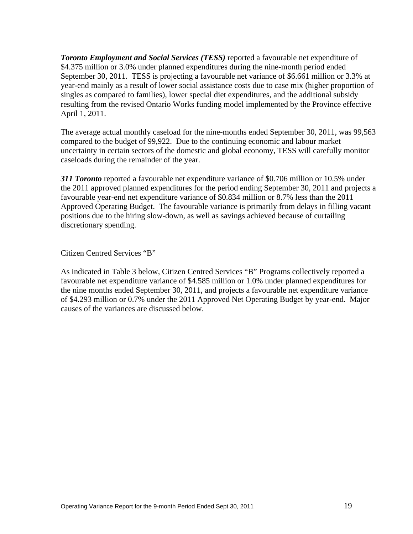*Toronto Employment and Social Services (TESS)* reported a favourable net expenditure of \$4.375 million or 3.0% under planned expenditures during the nine-month period ended September 30, 2011. TESS is projecting a favourable net variance of \$6.661 million or 3.3% at year-end mainly as a result of lower social assistance costs due to case mix (higher proportion of singles as compared to families), lower special diet expenditures, and the additional subsidy resulting from the revised Ontario Works funding model implemented by the Province effective April 1, 2011.

The average actual monthly caseload for the nine-months ended September 30, 2011, was 99,563 compared to the budget of 99,922. Due to the continuing economic and labour market uncertainty in certain sectors of the domestic and global economy, TESS will carefully monitor caseloads during the remainder of the year.

*311 Toronto* reported a favourable net expenditure variance of \$0.706 million or 10.5% under the 2011 approved planned expenditures for the period ending September 30, 2011 and projects a favourable year-end net expenditure variance of \$0.834 million or 8.7% less than the 2011 Approved Operating Budget. The favourable variance is primarily from delays in filling vacant positions due to the hiring slow-down, as well as savings achieved because of curtailing discretionary spending.

Citizen Centred Services "B"

As indicated in Table 3 below, Citizen Centred Services "B" Programs collectively reported a favourable net expenditure variance of \$4.585 million or 1.0% under planned expenditures for the nine months ended September 30, 2011, and projects a favourable net expenditure variance of \$4.293 million or 0.7% under the 2011 Approved Net Operating Budget by year-end. Major causes of the variances are discussed below.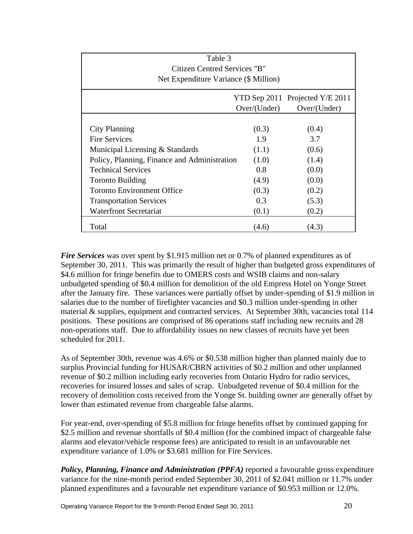| Table 3<br>Citizen Centred Services "B"<br>Net Expenditure Variance (\$ Million) |              |                                                 |  |
|----------------------------------------------------------------------------------|--------------|-------------------------------------------------|--|
|                                                                                  | Over/(Under) | YTD Sep 2011 Projected Y/E 2011<br>Over/(Under) |  |
|                                                                                  |              |                                                 |  |
| <b>City Planning</b>                                                             | (0.3)        | (0.4)                                           |  |
| <b>Fire Services</b>                                                             | 1.9          | 3.7                                             |  |
| Municipal Licensing & Standards                                                  | (1.1)        | (0.6)                                           |  |
| Policy, Planning, Finance and Administration                                     | (1.0)        | (1.4)                                           |  |
| <b>Technical Services</b>                                                        | 0.8          | (0.0)                                           |  |
| <b>Toronto Building</b>                                                          | (4.9)        | (0.0)                                           |  |
| <b>Toronto Environment Office</b>                                                | (0.3)        | (0.2)                                           |  |
| <b>Transportation Services</b>                                                   | 0.3          | (5.3)                                           |  |
| <b>Waterfront Secretariat</b>                                                    | (0.1)        | (0.2)                                           |  |
| Total                                                                            | (4.6)        | (4.3)                                           |  |

*Fire Services* was over spent by \$1.915 million net or 0.7% of planned expenditures as of September 30, 2011. This was primarily the result of higher than budgeted gross expenditures of \$4.6 million for fringe benefits due to OMERS costs and WSIB claims and non-salary unbudgeted spending of \$0.4 million for demolition of the old Empress Hotel on Yonge Street after the January fire. These variances were partially offset by under-spending of \$1.9 million in salaries due to the number of firefighter vacancies and \$0.3 million under-spending in other material & supplies, equipment and contracted services. At September 30th, vacancies total 114 positions. These positions are comprised of 86 operations staff including new recruits and 28 non-operations staff. Due to affordability issues no new classes of recruits have yet been scheduled for 2011.

As of September 30th, revenue was 4.6% or \$0.538 million higher than planned mainly due to surplus Provincial funding for HUSAR/CBRN activities of \$0.2 million and other unplanned revenue of \$0.2 million including early recoveries from Ontario Hydro for radio services, recoveries for insured losses and sales of scrap. Unbudgeted revenue of \$0.4 million for the recovery of demolition costs received from the Yonge St. building owner are generally offset by lower than estimated revenue from chargeable false alarms.

For year-end, over-spending of \$5.8 million for fringe benefits offset by continued gapping for \$2.5 million and revenue shortfalls of \$0.4 million (for the combined impact of chargeable false alarms and elevator/vehicle response fees) are anticipated to result in an unfavourable net expenditure variance of 1.0% or \$3.681 million for Fire Services.

*Policy, Planning, Finance and Administration (PPFA)* reported a favourable gross expenditure variance for the nine-month period ended September 30, 2011 of \$2.041 million or 11.7% under planned expenditures and a favourable net expenditure variance of \$0.953 million or 12.0%.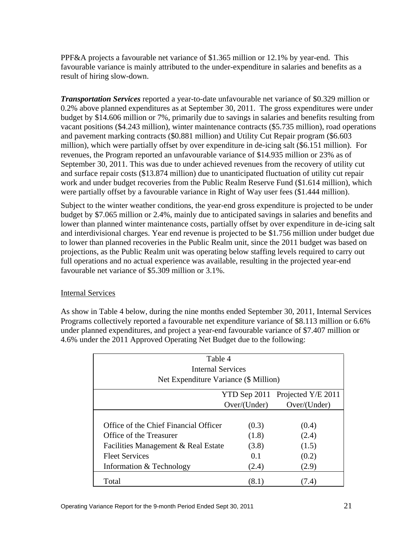PPF&A projects a favourable net variance of \$1.365 million or 12.1% by year-end. This favourable variance is mainly attributed to the under-expenditure in salaries and benefits as a result of hiring slow-down.

*Transportation Services* reported a year-to-date unfavourable net variance of \$0.329 million or 0.2% above planned expenditures as at September 30, 2011. The gross expenditures were under budget by \$14.606 million or 7%, primarily due to savings in salaries and benefits resulting from vacant positions (\$4.243 million), winter maintenance contracts (\$5.735 million), road operations and pavement marking contracts (\$0.881 million) and Utility Cut Repair program (\$6.603 million), which were partially offset by over expenditure in de-icing salt (\$6.151 million). For revenues, the Program reported an unfavourable variance of \$14.935 million or 23% as of September 30, 2011. This was due to under achieved revenues from the recovery of utility cut and surface repair costs (\$13.874 million) due to unanticipated fluctuation of utility cut repair work and under budget recoveries from the Public Realm Reserve Fund (\$1.614 million), which were partially offset by a favourable variance in Right of Way user fees (\$1.444 million).<br>Subject to the winter weather conditions, the year-end gross expenditure is projected to be under

budget by \$7.065 million or 2.4%, mainly due to anticipated savings in salaries and benefits and lower than planned winter maintenance costs, partially offset by over expenditure in de-icing salt and interdivisional charges. Year end revenue is projected to be \$1.756 million under budget due to lower than planned recoveries in the Public Realm unit, since the 2011 budget was based on projections, as the Public Realm unit was operating below staffing levels required to carry out full operations and no actual experience was available, resulting in the projected year-end favourable net variance of \$5.309 million or 3.1%.

## Internal Services

As show in Table 4 below, during the nine months ended September 30, 2011, Internal Services Programs collectively reported a favourable net expenditure variance of \$8.113 million or 6.6% under planned expenditures, and project a year-end favourable variance of \$7.407 million or 4.6% under the 2011 Approved Operating Net Budget due to the following:

| Table 4<br><b>Internal Services</b>   |               |                                 |
|---------------------------------------|---------------|---------------------------------|
| Net Expenditure Variance (\$ Million) |               |                                 |
|                                       |               | YTD Sep 2011 Projected Y/E 2011 |
|                                       | Over/ (Under) | Over/(Under)                    |
| Office of the Chief Financial Officer | (0.3)         | (0.4)                           |
| Office of the Treasurer               | (1.8)         | (2.4)                           |
| Facilities Management & Real Estate   | (3.8)         | (1.5)                           |
| <b>Fleet Services</b>                 | 0.1           | (0.2)                           |
| Information & Technology              | (2.4)         | (2.9)                           |
| Total                                 | (8.1)         | (7.4)                           |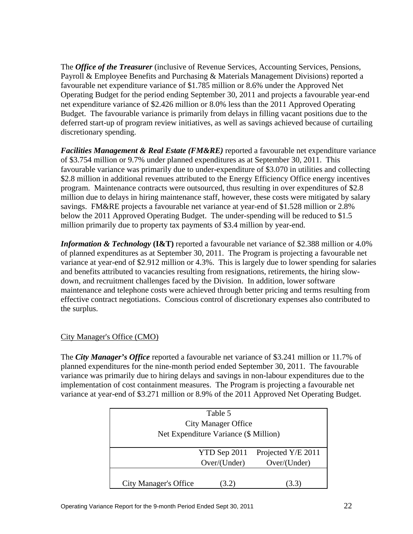The *Office of the Treasurer* (inclusive of Revenue Services, Accounting Services, Pensions, Payroll & Employee Benefits and Purchasing & Materials Management Divisions) reported a favourable net expenditure variance of \$1.785 million or 8.6% under the Approved Net Operating Budget for the period ending September 30, 2011 and projects a favourable year-end net expenditure variance of \$2.426 million or 8.0% less than the 2011 Approved Operating Budget. The favourable variance is primarily from delays in filling vacant positions due to the deferred start-up of program review initiatives, as well as savings achieved because of curtailing discretionary spending.

*Facilities Management & Real Estate (FM&RE)* reported a favourable net expenditure variance of \$3.754 million or 9.7% under planned expenditures as at September 30, 2011. This favourable variance was primarily due to under-expenditure of \$3.070 in utilities and collecting \$2.8 million in additional revenues attributed to the Energy Efficiency Office energy incentives program. Maintenance contracts were outsourced, thus resulting in over expenditures of \$2.8 million due to delays in hiring maintenance staff, however, these costs were mitigated by salary savings. FM&RE projects a favourable net variance at year-end of \$1.528 million or 2.8% below the 2011 Approved Operating Budget. The under-spending will be reduced to \$1.5 million primarily due to property tax payments of \$3.4 million by year-end.

*Information & Technology* **(I&T)** reported a favourable net variance of \$2.388 million or 4.0% of planned expenditures as at September 30, 2011. The Program is projecting a favourable net variance at year-end of \$2.912 million or 4.3%. This is largely due to lower spending for salaries and benefits attributed to vacancies resulting from resignations, retirements, the hiring slow down, and recruitment challenges faced by the Division. In addition, lower software maintenance and telephone costs were achieved through better pricing and terms resulting from effective contract negotiations. Conscious control of discretionary expenses also contributed to the surplus.

## City Manager's Office (CMO)

The *City Manager's Office* reported a favourable net variance of \$3.241 million or 11.7% of planned expenditures for the nine-month period ended September 30, 2011. The favourable variance was primarily due to hiring delays and savings in non-labour expenditures due to the implementation of cost containment measures. The Program is projecting a favourable net variance at year-end of \$3.271 million or 8.9% of the 2011 Approved Net Operating Budget.

| Table 5<br><b>City Manager Office</b><br>Net Expenditure Variance (\$ Million) |                    |
|--------------------------------------------------------------------------------|--------------------|
| YTD Sep 2011                                                                   | Projected Y/E 2011 |
| Over/(Under)                                                                   | Over/(Under)       |
| (3.2)<br><b>City Manager's Office</b>                                          | (3.3)              |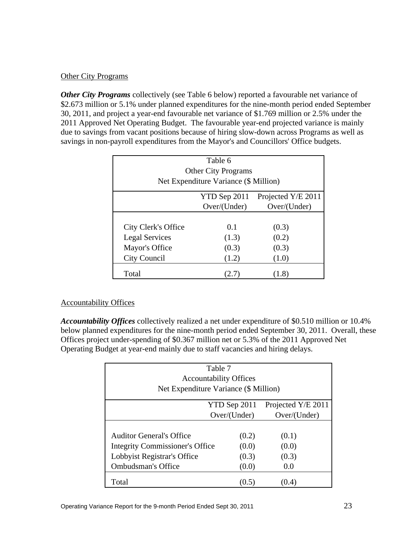## Other City Programs

*Other City Programs* collectively (see Table 6 below) reported a favourable net variance of \$2.673 million or 5.1% under planned expenditures for the nine-month period ended September 30, 2011, and project a year-end favourable net variance of \$1.769 million or 2.5% under the 2011 Approved Net Operating Budget. The favourable year-end projected variance is mainly due to savings from vacant positions because of hiring slow-down across Programs as well as

|                            | Table 6<br>Other City Programs<br>Net Expenditure Variance (\$ Million) |                                 |
|----------------------------|-------------------------------------------------------------------------|---------------------------------|
|                            |                                                                         | YTD Sep 2011 Projected Y/E 2011 |
|                            | Over/(Under)                                                            | Over/(Under)                    |
| <b>City Clerk's Office</b> | 0.1                                                                     | (0.3)                           |
| <b>Legal Services</b>      | (1.3)                                                                   | (0.2)                           |
| Mayor's Office             | (0.3)                                                                   | (0.3)                           |
|                            | (1.2)                                                                   | (1.0)                           |

## Accountability Offices

*Accountability Offices* collectively realized a net under expenditure of \$0.510 million or 10.4% below planned expenditures for the nine-month period ended September 30, 2011. Overall, these Offices project under-spending of \$0.367 million net or 5.3% of the 2011 Approved Net Operating Budget at year-end mainly due to staff vacancies and hiring delays.

| Net Expenditure Variance (\$ Million)  | Table 7<br><b>Accountability Offices</b> |                                                 |
|----------------------------------------|------------------------------------------|-------------------------------------------------|
|                                        | Over/(Under)                             | YTD Sep 2011 Projected Y/E 2011<br>Over/(Under) |
| <b>Auditor General's Office</b>        | (0.2)                                    | (0.1)                                           |
| <b>Integrity Commissioner's Office</b> | (0.0)                                    | (0.0)                                           |
| Lobbyist Registrar's Office            | (0.3)                                    | (0.3)                                           |
| <b>Ombudsman's Office</b>              | (0.0)                                    | 0.0                                             |
| Total                                  | (0.5)                                    | (0.4)                                           |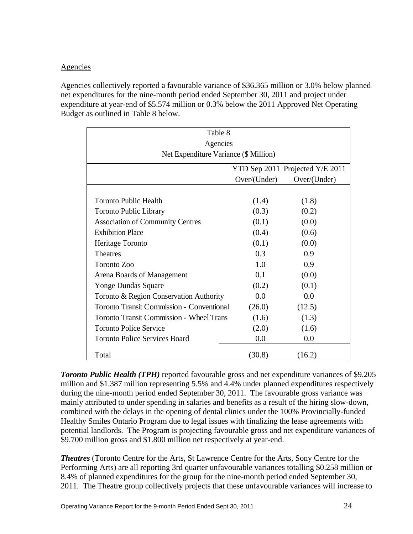## **Agencies**

Agencies collectively reported a favourable variance of \$36.365 million or 3.0% below planned net expenditures for the nine-month period ended September 30, 2011 and project under expenditure at year-end of \$5.574 million or 0.3% below the 2011 Approved Net Operating Budget as outlined in Table 8 below.

|                                           | Table 8<br>Agencies |                                 |
|-------------------------------------------|---------------------|---------------------------------|
| Net Expenditure Variance (\$ Million)     |                     |                                 |
|                                           |                     | YTD Sep 2011 Projected Y/E 2011 |
|                                           | Over/(Under)        | Over/ (Under)                   |
| <b>Toronto Public Health</b>              | (1.4)               | (1.8)                           |
| Toronto Public Library                    | (0.3)               | (0.2)                           |
| <b>Association of Community Centres</b>   | (0.1)               | (0.0)                           |
| <b>Exhibition Place</b>                   | (0.4)               | (0.6)                           |
| Heritage Toronto                          | (0.1)               | (0.0)                           |
| Theatres                                  | 0.3                 | 0.9                             |
| Toronto Zoo                               | 1.0                 | 0.9                             |
| Arena Boards of Management                | 0.1                 | (0.0)                           |
| Yonge Dundas Square                       | (0.2)               | (0.1)                           |
| Toronto & Region Conservation Authority   | $0.0\,$             | 0.0                             |
| Toronto Transit Commission - Conventional | (26.0)              | (12.5)                          |
| Toronto Transit Commission - Wheel Trans  | (1.6)               | (1.3)                           |
| <b>Toronto Police Service</b>             | (2.0)               | (1.6)                           |
| <b>Toronto Police Services Board</b>      | $0.0\,$             | 0.0                             |
| Total                                     | (30.8)              | (16.2)                          |

**Toronto Public Health (TPH)** reported favourable gross and net expenditure variances of \$9.205 million and \$1.387 million representing 5.5% and 4.4% under planned expenditures respectively during the nine-month period ended September 30, 2011. The favourable gross variance was mainly attributed to under spending in salaries and benefits as a result of the hiring slow-down, combined with the delays in the opening of dental clinics under the 100% Provincially-funded Healthy Smiles Ontario Program due to legal issues with finalizing the lease agreements with potential landlords. The Program is projecting favourable gross and net expenditure variances of \$9.700 million gross and \$1.800 million net respectively at year-end.

*Theatres* (Toronto Centre for the Arts, St Lawrence Centre for the Arts, Sony Centre for the Performing Arts) are all reporting 3rd quarter unfavourable variances totalling \$0.258 million or 8.4% of planned expenditures for the group for the nine-month period ended September 30, 2011. The Theatre group collectively projects that these unfavourable variances will increase to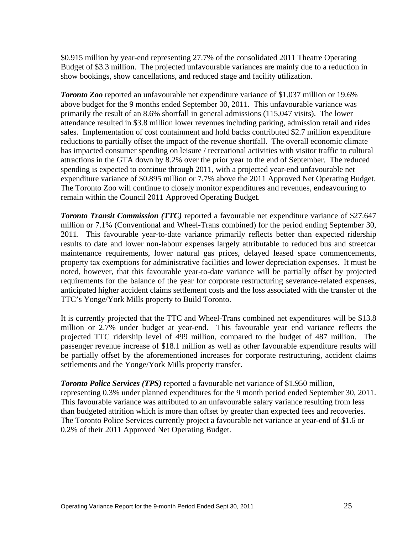\$0.915 million by year-end representing 27.7% of the consolidated 2011 Theatre Operating Budget of \$3.3 million. The projected unfavourable variances are mainly due to a reduction in show bookings, show cancellations, and reduced stage and facility utilization.

*Toronto Zoo* reported an unfavourable net expenditure variance of \$1.037 million or 19.6% above budget for the 9 months ended September 30, 2011. This unfavourable variance was primarily the result of an 8.6% shortfall in general admissions (115,047 visits). The lower attendance resulted in \$3.8 million lower revenues including parking, admission retail and rides sales. Implementation of cost containment and hold backs contributed \$2.7 million expenditure reductions to partially offset the impact of the revenue shortfall. The overall economic climate has impacted consumer spending on leisure / recreational activities with visitor traffic to cultural attractions in the GTA down by 8.2% over the prior year to the end of September. The reduced spending is expected to continue through 2011, with a projected year-end unfavourable net expenditure variance of \$0.895 million or 7.7% above the 2011 Approved Net Operating Budget. The Toronto Zoo will continue to closely monitor expenditures and revenues, endeavouring to remain within the Council 2011 Approved Operating Budget.

*Toronto Transit Commission (TTC)* reported a favourable net expenditure variance of \$27.647 million or 7.1% (Conventional and Wheel-Trans combined) for the period ending September 30, 2011. This favourable year-to-date variance primarily reflects better than expected ridership results to date and lower non-labour expenses largely attributable to reduced bus and streetcar maintenance requirements, lower natural gas prices, delayed leased space commencements, property tax exemptions for administrative facilities and lower depreciation expenses. It must be noted, however, that this favourable year-to-date variance will be partially offset by projected requirements for the balance of the year for corporate restructuring severance-related expenses, anticipated higher accident claims settlement costs and the loss associated with the transfer of the TTC's Yonge/York Mills property to Build Toronto.

It is currently projected that the TTC and Wheel-Trans combined net expenditures will be \$13.8 million or 2.7% under budget at year-end. This favourable year end variance reflects the projected TTC ridership level of 499 million, compared to the budget of 487 million. The passenger revenue increase of \$18.1 million as well as other favourable expenditure results will be partially offset by the aforementioned increases for corporate restructuring, accident claims settlements and the Yonge/York Mills property transfer.

*Toronto Police Services (TPS)* reported a favourable net variance of \$1.950 million, representing 0.3% under planned expenditures for the 9 month period ended September 30, 2011. This favourable variance was attributed to an unfavourable salary variance resulting from less than budgeted attrition which is more than offset by greater than expected fees and recoveries. The Toronto Police Services currently project a favourable net variance at year-end of \$1.6 or 0.2% of their 2011 Approved Net Operating Budget.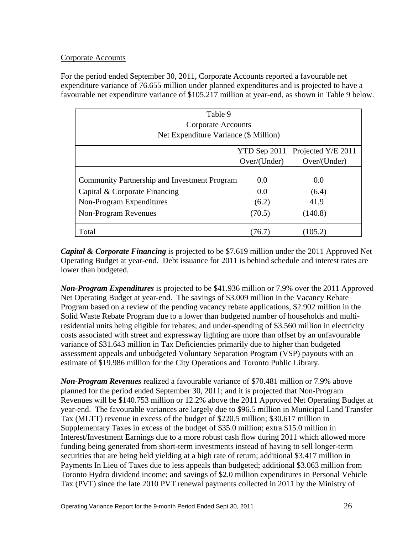## **Corporate Accounts**

For the period ended September 30, 2011, Corporate Accounts reported a favourable net expenditure variance of 76.655 million under planned expenditures and is projected to have a favourable net expenditure variance of \$105.217 million at year-end, as shown in Table 9 below.

| Table 9<br><b>Corporate Accounts</b><br>Net Expenditure Variance (\$ Million) |              |                                 |  |
|-------------------------------------------------------------------------------|--------------|---------------------------------|--|
|                                                                               |              | YTD Sep 2011 Projected Y/E 2011 |  |
|                                                                               | Over/(Under) | Over/(Under)                    |  |
| Community Partnership and Investment Program                                  | $0.0\,$      | $0.0\,$                         |  |
| Capital & Corporate Financing                                                 | $0.0\,$      | (6.4)                           |  |
| Non-Program Expenditures                                                      | (6.2)        | 41.9                            |  |
| Non-Program Revenues                                                          | (70.5)       | (140.8)                         |  |
| Total                                                                         | (76.7)       | (105.2)                         |  |

*Capital & Corporate Financing* is projected to be \$7.619 million under the 2011 Approved Net Operating Budget at year-end. Debt issuance for 2011 is behind schedule and interest rates are lower than budgeted.

*Non-Program Expenditures* is projected to be \$41.936 million or 7.9% over the 2011 Approved Net Operating Budget at year-end. The savings of \$3.009 million in the Vacancy Rebate Program based on a review of the pending vacancy rebate applications, \$2.902 million in the Solid Waste Rebate Program due to a lower than budgeted number of households and multiresidential units being eligible for rebates; and under-spending of \$3.560 million in electricity costs associated with street and expressway lighting are more than offset by an unfavourable variance of \$31.643 million in Tax Deficiencies primarily due to higher than budgeted assessment appeals and unbudgeted Voluntary Separation Program (VSP) payouts with an estimate of \$19.986 million for the City Operations and Toronto Public Library.

*Non-Program Revenues* realized a favourable variance of \$70.481 million or 7.9% above planned for the period ended September 30, 2011; and it is projected that Non-Program Revenues will be \$140.753 million or 12.2% above the 2011 Approved Net Operating Budget at year-end. The favourable variances are largely due to \$96.5 million in Municipal Land Transfer Tax (MLTT) revenue in excess of the budget of \$220.5 million; \$30.617 million in Supplementary Taxes in excess of the budget of \$35.0 million; extra \$15.0 million in Interest/Investment Earnings due to a more robust cash flow during 2011 which allowed more funding being generated from short-term investments instead of having to sell longer-term securities that are being held yielding at a high rate of return; additional \$3.417 million in Payments In Lieu of Taxes due to less appeals than budgeted; additional \$3.063 million from Toronto Hydro dividend income; and savings of \$2.0 million expenditures in Personal Vehicle Tax (PVT) since the late 2010 PVT renewal payments collected in 2011 by the Ministry of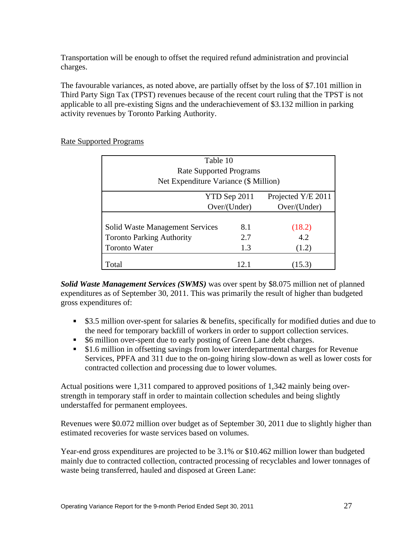Transportation will be enough to offset the required refund administration and provincial charges.

The favourable variances, as noted above, are partially offset by the loss of \$7.101 million in Third Party Sign Tax (TPST) revenues because of the recent court ruling that the TPST is not applicable to all pre-existing Signs and the underachievement of \$3.132 million in parking activity revenues by Toronto Parking Authority.

| Table 10<br><b>Rate Supported Programs</b><br>Net Expenditure Variance (\$ Million)                |                              |                                      |
|----------------------------------------------------------------------------------------------------|------------------------------|--------------------------------------|
|                                                                                                    | YTD Sep 2011<br>Over/(Under) | Projected $Y/E 2011$<br>Over/(Under) |
| <b>Solid Waste Management Services</b><br><b>Toronto Parking Authority</b><br><b>Toronto Water</b> | 8.1<br>2.7                   | (18.2)<br>4.2<br>(1.2)               |
| Total                                                                                              | 12.1                         | (15.3)                               |

## Rate Supported Programs

*Solid Waste Management Services (SWMS)* was over spent by \$8.075 million net of planned expenditures as of September 30, 2011. This was primarily the result of higher than budgeted gross expenditures of:

- **53.5 million over-spent for salaries & benefits, specifically for modified duties and due to** the need for temporary backfill of workers in order to support collection services.
- $\bullet$  \$6 million over-spent due to early posting of Green Lane debt charges.
- \$1.6 million in offsetting savings from lower interdepartmental charges for Revenue Services, PPFA and 311 due to the on-going hiring slow-down as well as lower costs for contracted collection and processing due to lower volumes.

Actual positions were 1,311 compared to approved positions of 1,342 mainly being over strength in temporary staff in order to maintain collection schedules and being slightly understaffed for permanent employees.

Revenues were \$0.072 million over budget as of September 30, 2011 due to slightly higher than estimated recoveries for waste services based on volumes.

Year-end gross expenditures are projected to be 3.1% or \$10.462 million lower than budgeted mainly due to contracted collection, contracted processing of recyclables and lower tonnages of waste being transferred, hauled and disposed at Green Lane: